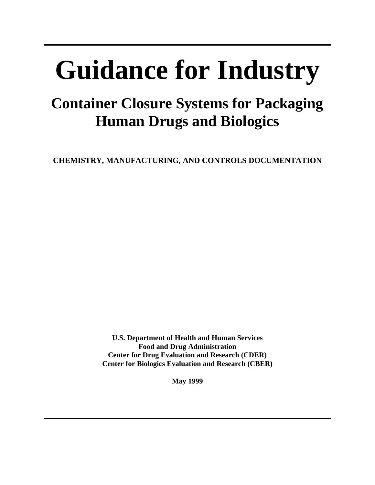# **Guidance for Industry**

# **Container Closure Systems for Packaging Human Drugs and Biologics**

**CHEMISTRY, MANUFACTURING, AND CONTROLS DOCUMENTATION**

**U.S. Department of Health and Human Services Food and Drug Administration Center for Drug Evaluation and Research (CDER) Center for Biologics Evaluation and Research (CBER)**

**May 1999**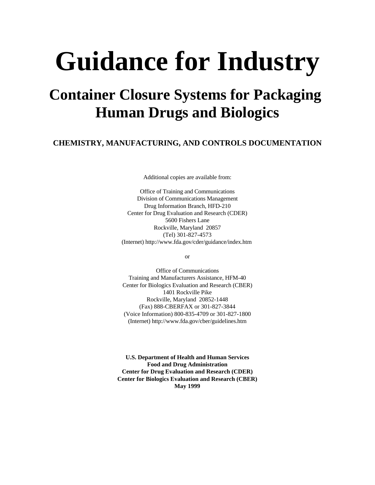# **Guidance for Industry**

# **Container Closure Systems for Packaging Human Drugs and Biologics**

**CHEMISTRY, MANUFACTURING, AND CONTROLS DOCUMENTATION**

Additional copies are available from:

Office of Training and Communications Division of Communications Management Drug Information Branch, HFD-210 Center for Drug Evaluation and Research (CDER) 5600 Fishers Lane Rockville, Maryland 20857 (Tel) 301-827-4573 (Internet) http://www.fda.gov/cder/guidance/index.htm

or

Office of Communications Training and Manufacturers Assistance, HFM-40 Center for Biologics Evaluation and Research (CBER) 1401 Rockville Pike Rockville, Maryland 20852-1448 (Fax) 888-CBERFAX or 301-827-3844 (Voice Information) 800-835-4709 or 301-827-1800 (Internet) http://www.fda.gov/cber/guidelines.htm

**U.S. Department of Health and Human Services Food and Drug Administration Center for Drug Evaluation and Research (CDER) Center for Biologics Evaluation and Research (CBER) May 1999**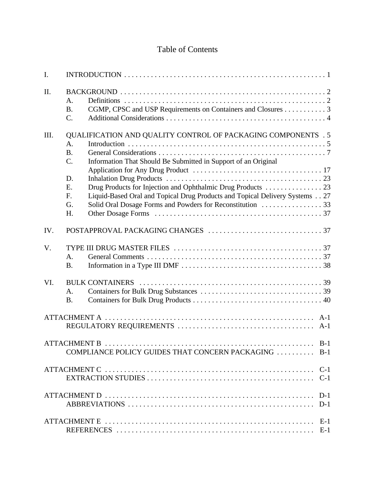## Table of Contents

| I.   |                     |                                                                             |  |  |
|------|---------------------|-----------------------------------------------------------------------------|--|--|
| II.  |                     |                                                                             |  |  |
|      | A.                  |                                                                             |  |  |
|      | <b>B.</b>           | CGMP, CPSC and USP Requirements on Containers and Closures 3                |  |  |
|      | C.                  |                                                                             |  |  |
| III. |                     | QUALIFICATION AND QUALITY CONTROL OF PACKAGING COMPONENTS . 5               |  |  |
|      | A.                  |                                                                             |  |  |
|      | <b>B.</b>           |                                                                             |  |  |
|      | $C$ .               | Information That Should Be Submitted in Support of an Original              |  |  |
|      |                     |                                                                             |  |  |
|      | D.                  |                                                                             |  |  |
|      | E.                  |                                                                             |  |  |
|      | F.                  | Liquid-Based Oral and Topical Drug Products and Topical Delivery Systems 27 |  |  |
|      | G.                  |                                                                             |  |  |
|      | H.                  |                                                                             |  |  |
| IV.  |                     |                                                                             |  |  |
|      |                     |                                                                             |  |  |
| V.   |                     |                                                                             |  |  |
|      | A.                  |                                                                             |  |  |
|      | <b>B.</b>           |                                                                             |  |  |
| VI.  |                     |                                                                             |  |  |
|      | A.                  |                                                                             |  |  |
|      | <b>B.</b>           |                                                                             |  |  |
|      |                     |                                                                             |  |  |
|      |                     |                                                                             |  |  |
|      |                     | $A-1$                                                                       |  |  |
|      | <b>ATTACHMENT B</b> | $B-1$                                                                       |  |  |
|      |                     | COMPLIANCE POLICY GUIDES THAT CONCERN PACKAGING  B-1                        |  |  |
|      |                     |                                                                             |  |  |
|      |                     |                                                                             |  |  |
|      |                     | $C-1$                                                                       |  |  |
|      |                     |                                                                             |  |  |
|      |                     |                                                                             |  |  |
|      |                     |                                                                             |  |  |
|      |                     |                                                                             |  |  |
|      |                     |                                                                             |  |  |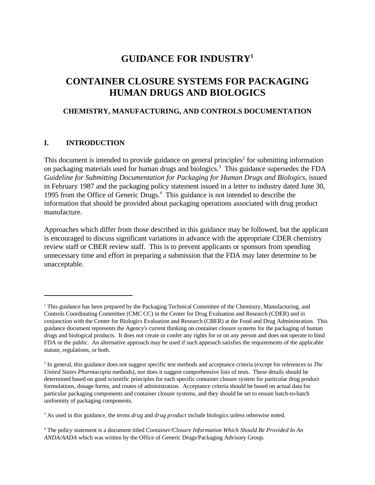### **GUIDANCE FOR INDUSTRY<sup>1</sup>**

## **CONTAINER CLOSURE SYSTEMS FOR PACKAGING HUMAN DRUGS AND BIOLOGICS**

#### **CHEMISTRY, MANUFACTURING, AND CONTROLS DOCUMENTATION**

#### **I. INTRODUCTION**

This document is intended to provide guidance on general principles<sup>2</sup> for submitting information on packaging materials used for human drugs and biologics.<sup>3</sup> This guidance supersedes the FDA *Guideline for Submitting Documentation for Packaging for Human Drugs and Biologics*, issued in February 1987 and the packaging policy statement issued in a letter to industry dated June 30, 1995 from the Office of Generic Drugs. $<sup>4</sup>$  This guidance is not intended to describe the</sup> information that should be provided about packaging operations associated with drug product manufacture.

Approaches which differ from those described in this guidance may be followed, but the applicant is encouraged to discuss significant variations in advance with the appropriate CDER chemistry review staff or CBER review staff. This is to prevent applicants or sponsors from spending unnecessary time and effort in preparing a submission that the FDA may later determine to be unacceptable.

<sup>&</sup>lt;sup>1</sup> This guidance has been prepared by the Packaging Technical Committee of the Chemistry, Manufacturing, and Controls Coordinating Committee (CMC CC) in the Center for Drug Evaluation and Research (CDER) and in conjunction with the Center for Biologics Evaluation and Research (CBER) at the Food and Drug Administration. This guidance document represents the Agency's current thinking on container closure systems for the packaging of human drugs and biological products. It does not create or confer any rights for or on any person and does not operate to bind FDA or the public. An alternative approach may be used if such approach satisfies the requirements of the applicable statute, regulations, or both.

<sup>&</sup>lt;sup>2</sup> In general, this guidance does not suggest specific test methods and acceptance criteria (except for references to *The United States Pharmacopia* methods), nor does it suggest comprehensive lists of tests. These details should be determined based on good scientific principles for each specific container closure system for particular drug product formulations, dosage forms, and routes of administration. Acceptance criteria should be based on actual data for particular packaging components and container closure systems, and they should be set to ensure batch-to-batch uniformity of packaging components.

<sup>&</sup>lt;sup>3</sup> As used in this guidance, the terms *drug* and *drug product* include biologics unless otherwise noted.

<sup>&</sup>lt;sup>4</sup> The policy statement is a document titled *Container/Closure Information Which Should Be Provided In An ANDA/AADA* which was written by the Office of Generic Drugs/Packaging Advisory Group.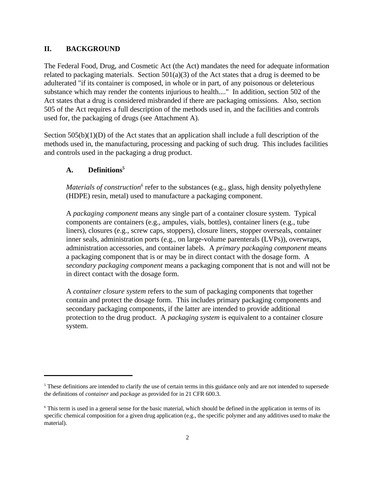#### **II. BACKGROUND**

The Federal Food, Drug, and Cosmetic Act (the Act) mandates the need for adequate information related to packaging materials. Section  $501(a)(3)$  of the Act states that a drug is deemed to be adulterated "if its container is composed, in whole or in part, of any poisonous or deleterious substance which may render the contents injurious to health...." In addition, section 502 of the Act states that a drug is considered misbranded if there are packaging omissions. Also, section 505 of the Act requires a full description of the methods used in, and the facilities and controls used for, the packaging of drugs (see Attachment A).

Section  $505(b)(1)(D)$  of the Act states that an application shall include a full description of the methods used in, the manufacturing, processing and packing of such drug. This includes facilities and controls used in the packaging a drug product.

#### **A. Definitions<sup>5</sup>**

*Materials of construction*<sup>6</sup> refer to the substances (e.g., glass, high density polyethylene (HDPE) resin, metal) used to manufacture a packaging component.

A *packaging component* means any single part of a container closure system. Typical components are containers (e.g., ampules, vials, bottles), container liners (e.g., tube liners), closures (e.g., screw caps, stoppers), closure liners, stopper overseals, container inner seals, administration ports (e.g., on large-volume parenterals (LVPs)), overwraps, administration accessories, and container labels. A *primary packaging component* means a packaging component that is or may be in direct contact with the dosage form. A *secondary packaging component* means a packaging component that is not and will not be in direct contact with the dosage form.

A *container closure system* refers to the sum of packaging components that together contain and protect the dosage form. This includes primary packaging components and secondary packaging components, if the latter are intended to provide additional protection to the drug product. A *packaging system* is equivalent to a container closure system.

<sup>&</sup>lt;sup>5</sup> These definitions are intended to clarify the use of certain terms in this guidance only and are not intended to supersede the definitions of *container* and *package* as provided for in 21 CFR 600.3.

 $\delta$  This term is used in a general sense for the basic material, which should be defined in the application in terms of its specific chemical composition for a given drug application (e.g., the specific polymer and any additives used to make the material).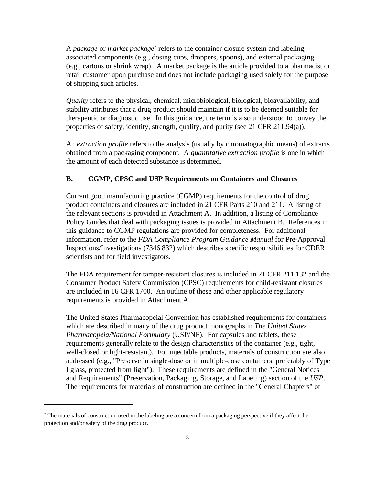A *package* or *market package*<sup>7</sup> refers to the container closure system and labeling, associated components (e.g., dosing cups, droppers, spoons), and external packaging (e.g., cartons or shrink wrap). A market package is the article provided to a pharmacist or retail customer upon purchase and does not include packaging used solely for the purpose of shipping such articles.

*Quality* refers to the physical, chemical, microbiological, biological, bioavailability, and stability attributes that a drug product should maintain if it is to be deemed suitable for therapeutic or diagnostic use. In this guidance, the term is also understood to convey the properties of safety, identity, strength, quality, and purity (see 21 CFR 211.94(a)).

An *extraction profile* refers to the analysis (usually by chromatographic means) of extracts obtained from a packaging component. A *quantitative extraction profile* is one in which the amount of each detected substance is determined.

#### **B. CGMP, CPSC and USP Requirements on Containers and Closures**

Current good manufacturing practice (CGMP) requirements for the control of drug product containers and closures are included in 21 CFR Parts 210 and 211. A listing of the relevant sections is provided in Attachment A. In addition, a listing of Compliance Policy Guides that deal with packaging issues is provided in Attachment B. References in this guidance to CGMP regulations are provided for completeness. For additional information, refer to the *FDA Compliance Program Guidance Manual* for Pre-Approval Inspections/Investigations (7346.832) which describes specific responsibilities for CDER scientists and for field investigators.

The FDA requirement for tamper-resistant closures is included in 21 CFR 211.132 and the Consumer Product Safety Commission (CPSC) requirements for child-resistant closures are included in 16 CFR 1700. An outline of these and other applicable regulatory requirements is provided in Attachment A.

The United States Pharmacopeial Convention has established requirements for containers which are described in many of the drug product monographs in *The United States Pharmacopeia/National Formulary* (USP/NF). For capsules and tablets, these requirements generally relate to the design characteristics of the container (e.g., tight, well-closed or light-resistant). For injectable products, materials of construction are also addressed (e.g., "Preserve in single-dose or in multiple-dose containers, preferably of Type I glass, protected from light"). These requirements are defined in the "General Notices and Requirements" (Preservation, Packaging, Storage, and Labeling) section of the *USP*. The requirements for materials of construction are defined in the "General Chapters" of

The materials of construction used in the labeling are a concern from a packaging perspective if they affect the protection and/or safety of the drug product.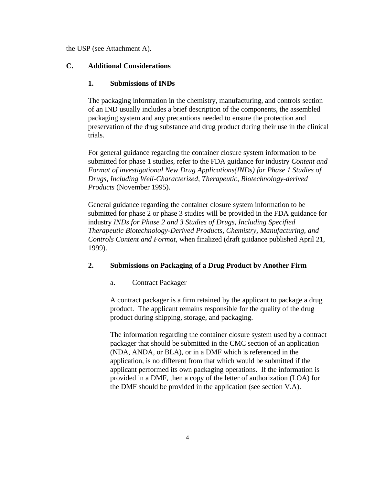the USP (see Attachment A).

#### **C. Additional Considerations**

#### **1. Submissions of INDs**

The packaging information in the chemistry, manufacturing, and controls section of an IND usually includes a brief description of the components, the assembled packaging system and any precautions needed to ensure the protection and preservation of the drug substance and drug product during their use in the clinical trials.

For general guidance regarding the container closure system information to be submitted for phase 1 studies, refer to the FDA guidance for industry *Content and Format of investigational New Drug Applications(INDs) for Phase 1 Studies of Drugs, Including Well-Characterized, Therapeutic, Biotechnology-derived Products* (November 1995).

General guidance regarding the container closure system information to be submitted for phase 2 or phase 3 studies will be provided in the FDA guidance for industry *INDs for Phase 2 and 3 Studies of Drugs, Including Specified Therapeutic Biotechnology-Derived Products, Chemistry, Manufacturing, and Controls Content and Format,* when finalized (draft guidance published April 21, 1999).

#### **2. Submissions on Packaging of a Drug Product by Another Firm**

a. Contract Packager

A contract packager is a firm retained by the applicant to package a drug product. The applicant remains responsible for the quality of the drug product during shipping, storage, and packaging.

The information regarding the container closure system used by a contract packager that should be submitted in the CMC section of an application (NDA, ANDA, or BLA), or in a DMF which is referenced in the application, is no different from that which would be submitted if the applicant performed its own packaging operations. If the information is provided in a DMF, then a copy of the letter of authorization (LOA) for the DMF should be provided in the application (see section V.A).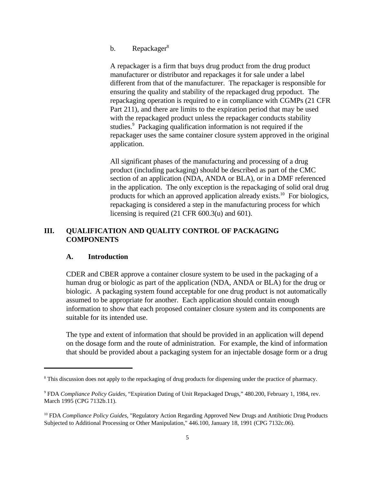#### b. Repackager $8$

A repackager is a firm that buys drug product from the drug product manufacturer or distributor and repackages it for sale under a label different from that of the manufacturer. The repackager is responsible for ensuring the quality and stability of the repackaged drug prpoduct. The repackaging operation is required to e in compliance with CGMPs (21 CFR Part 211), and there are limits to the expiration period that may be used with the repackaged product unless the repackager conducts stability studies.<sup>9</sup> Packaging qualification information is not required if the repackager uses the same container closure system approved in the original application.

All significant phases of the manufacturing and processing of a drug product (including packaging) should be described as part of the CMC section of an application (NDA, ANDA or BLA), or in a DMF referenced in the application. The only exception is the repackaging of solid oral drug products for which an approved application already exists.<sup>10</sup> For biologics, repackaging is considered a step in the manufacturing process for which licensing is required (21 CFR 600.3(u) and 601).

#### **III. QUALIFICATION AND QUALITY CONTROL OF PACKAGING COMPONENTS**

#### **A. Introduction**

CDER and CBER approve a container closure system to be used in the packaging of a human drug or biologic as part of the application (NDA, ANDA or BLA) for the drug or biologic. A packaging system found acceptable for one drug product is not automatically assumed to be appropriate for another. Each application should contain enough information to show that each proposed container closure system and its components are suitable for its intended use.

The type and extent of information that should be provided in an application will depend on the dosage form and the route of administration. For example, the kind of information that should be provided about a packaging system for an injectable dosage form or a drug

<sup>&</sup>lt;sup>8</sup> This discussion does not apply to the repackaging of drug products for dispensing under the practice of pharmacy.

FDA *Compliance Policy Guides*, "Expiration Dating of Unit Repackaged Drugs," 480.200, February 1, 1984, rev. <sup>9</sup> March 1995 (CPG 7132b.11).

<sup>&</sup>lt;sup>10</sup> FDA *Compliance Policy Guides*, "Regulatory Action Regarding Approved New Drugs and Antibiotic Drug Products Subjected to Additional Processing or Other Manipulation," 446.100, January 18, 1991 (CPG 7132c.06).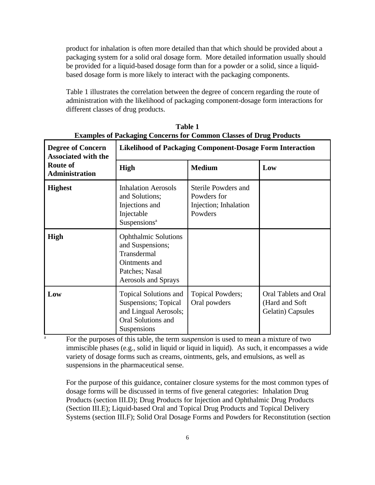product for inhalation is often more detailed than that which should be provided about a packaging system for a solid oral dosage form. More detailed information usually should be provided for a liquid-based dosage form than for a powder or a solid, since a liquidbased dosage form is more likely to interact with the packaging components.

Table 1 illustrates the correlation between the degree of concern regarding the route of administration with the likelihood of packaging component-dosage form interactions for different classes of drug products.

| <b>EXAMPLES OF FAUNAGING CONCELLS TOF COMMUNI CRASSES OF DT UG FT OURCES</b> |                                                                                                                          |                                                                        |                                                                      |  |
|------------------------------------------------------------------------------|--------------------------------------------------------------------------------------------------------------------------|------------------------------------------------------------------------|----------------------------------------------------------------------|--|
| <b>Degree of Concern</b><br><b>Associated with the</b>                       | <b>Likelihood of Packaging Component-Dosage Form Interaction</b>                                                         |                                                                        |                                                                      |  |
| <b>Route of</b><br><b>Administration</b>                                     | <b>High</b>                                                                                                              | <b>Medium</b>                                                          | Low                                                                  |  |
| <b>Highest</b>                                                               | <b>Inhalation Aerosols</b><br>and Solutions;<br>Injections and<br>Injectable<br>Suspensions <sup>a</sup>                 | Sterile Powders and<br>Powders for<br>Injection; Inhalation<br>Powders |                                                                      |  |
| <b>High</b>                                                                  | <b>Ophthalmic Solutions</b><br>and Suspensions;<br>Transdermal<br>Ointments and<br>Patches; Nasal<br>Aerosols and Sprays |                                                                        |                                                                      |  |
| Low                                                                          | <b>Topical Solutions and</b><br>Suspensions; Topical<br>and Lingual Aerosols;<br>Oral Solutions and<br>Suspensions       | <b>Topical Powders;</b><br>Oral powders                                | <b>Oral Tablets and Oral</b><br>(Hard and Soft)<br>Gelatin) Capsules |  |

**Table 1 Examples of Packaging Concerns for Common Classes of Drug Products**

For the purposes of this table, the term *suspension* is used to mean a mixture of two immiscible phases (e.g., solid in liquid or liquid in liquid). As such, it encompasses a wide variety of dosage forms such as creams, ointments, gels, and emulsions, as well as suspensions in the pharmaceutical sense.

For the purpose of this guidance, container closure systems for the most common types of dosage forms will be discussed in terms of five general categories: Inhalation Drug Products (section III.D); Drug Products for Injection and Ophthalmic Drug Products (Section III.E); Liquid-based Oral and Topical Drug Products and Topical Delivery Systems (section III.F); Solid Oral Dosage Forms and Powders for Reconstitution (section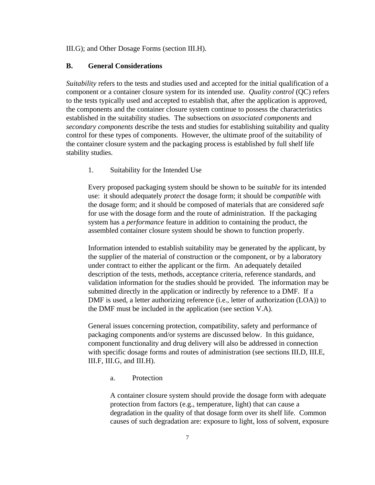III.G); and Other Dosage Forms (section III.H).

#### **B. General Considerations**

*Suitability* refers to the tests and studies used and accepted for the initial qualification of a component or a container closure system for its intended use. *Quality control* (QC) refers to the tests typically used and accepted to establish that, after the application is approved, the components and the container closure system continue to possess the characteristics established in the suitability studies. The subsections on *associated components* and *secondary components* describe the tests and studies for establishing suitability and quality control for these types of components. However, the ultimate proof of the suitability of the container closure system and the packaging process is established by full shelf life stability studies.

1. Suitability for the Intended Use

Every proposed packaging system should be shown to be *suitable* for its intended use: it should adequately *protect* the dosage form; it should be *compatible* with the dosage form; and it should be composed of materials that are considered *safe* for use with the dosage form and the route of administration. If the packaging system has a *performance* feature in addition to containing the product, the assembled container closure system should be shown to function properly.

Information intended to establish suitability may be generated by the applicant, by the supplier of the material of construction or the component, or by a laboratory under contract to either the applicant or the firm. An adequately detailed description of the tests, methods, acceptance criteria, reference standards, and validation information for the studies should be provided. The information may be submitted directly in the application or indirectly by reference to a DMF. If a DMF is used, a letter authorizing reference (i.e., letter of authorization (LOA)) to the DMF must be included in the application (see section V.A).

General issues concerning protection, compatibility, safety and performance of packaging components and/or systems are discussed below. In this guidance, component functionality and drug delivery will also be addressed in connection with specific dosage forms and routes of administration (see sections III.D, III.E, III.F, III.G, and III.H).

a. Protection

A container closure system should provide the dosage form with adequate protection from factors (e.g., temperature, light) that can cause a degradation in the quality of that dosage form over its shelf life. Common causes of such degradation are: exposure to light, loss of solvent, exposure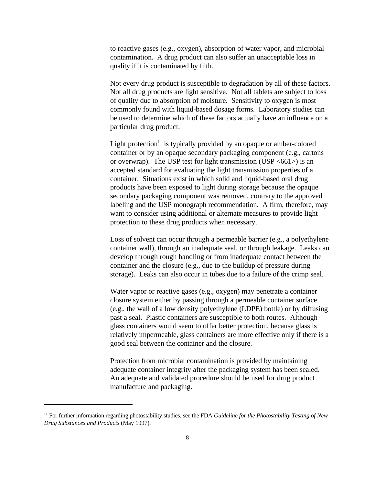to reactive gases (e.g., oxygen), absorption of water vapor, and microbial contamination. A drug product can also suffer an unacceptable loss in quality if it is contaminated by filth.

Not every drug product is susceptible to degradation by all of these factors. Not all drug products are light sensitive. Not all tablets are subject to loss of quality due to absorption of moisture. Sensitivity to oxygen is most commonly found with liquid-based dosage forms. Laboratory studies can be used to determine which of these factors actually have an influence on a particular drug product.

Light protection<sup> $11$ </sup> is typically provided by an opaque or amber-colored container or by an opaque secondary packaging component (e.g., cartons or overwrap). The USP test for light transmission (USP <661>) is an accepted standard for evaluating the light transmission properties of a container. Situations exist in which solid and liquid-based oral drug products have been exposed to light during storage because the opaque secondary packaging component was removed, contrary to the approved labeling and the USP monograph recommendation. A firm, therefore, may want to consider using additional or alternate measures to provide light protection to these drug products when necessary.

Loss of solvent can occur through a permeable barrier (e.g., a polyethylene container wall), through an inadequate seal, or through leakage. Leaks can develop through rough handling or from inadequate contact between the container and the closure (e.g., due to the buildup of pressure during storage). Leaks can also occur in tubes due to a failure of the crimp seal.

Water vapor or reactive gases (e.g., oxygen) may penetrate a container closure system either by passing through a permeable container surface (e.g., the wall of a low density polyethylene (LDPE) bottle) or by diffusing past a seal. Plastic containers are susceptible to both routes. Although glass containers would seem to offer better protection, because glass is relatively impermeable, glass containers are more effective only if there is a good seal between the container and the closure.

Protection from microbial contamination is provided by maintaining adequate container integrity after the packaging system has been sealed. An adequate and validated procedure should be used for drug product manufacture and packaging.

 $^{11}$  For further information regarding photostability studies, see the FDA *Guideline for the Photostability Testing of New Drug Substances and Products* (May 1997).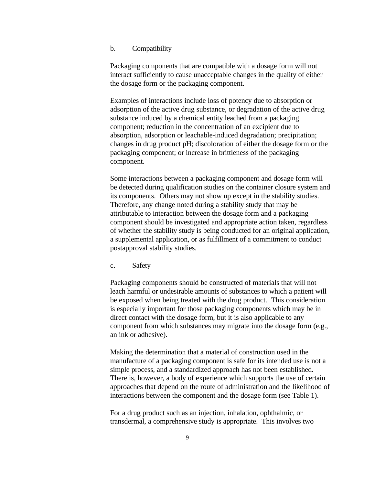#### b. Compatibility

Packaging components that are compatible with a dosage form will not interact sufficiently to cause unacceptable changes in the quality of either the dosage form or the packaging component.

Examples of interactions include loss of potency due to absorption or adsorption of the active drug substance, or degradation of the active drug substance induced by a chemical entity leached from a packaging component; reduction in the concentration of an excipient due to absorption, adsorption or leachable-induced degradation; precipitation; changes in drug product pH; discoloration of either the dosage form or the packaging component; or increase in brittleness of the packaging component.

Some interactions between a packaging component and dosage form will be detected during qualification studies on the container closure system and its components. Others may not show up except in the stability studies. Therefore, any change noted during a stability study that may be attributable to interaction between the dosage form and a packaging component should be investigated and appropriate action taken, regardless of whether the stability study is being conducted for an original application, a supplemental application, or as fulfillment of a commitment to conduct postapproval stability studies.

c. Safety

Packaging components should be constructed of materials that will not leach harmful or undesirable amounts of substances to which a patient will be exposed when being treated with the drug product. This consideration is especially important for those packaging components which may be in direct contact with the dosage form, but it is also applicable to any component from which substances may migrate into the dosage form (e.g., an ink or adhesive).

Making the determination that a material of construction used in the manufacture of a packaging component is safe for its intended use is not a simple process, and a standardized approach has not been established. There is, however, a body of experience which supports the use of certain approaches that depend on the route of administration and the likelihood of interactions between the component and the dosage form (see Table 1).

For a drug product such as an injection, inhalation, ophthalmic, or transdermal, a comprehensive study is appropriate. This involves two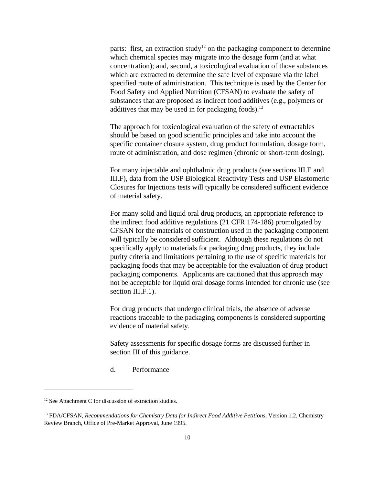parts: first, an extraction study<sup>12</sup> on the packaging component to determine which chemical species may migrate into the dosage form (and at what concentration); and, second, a toxicological evaluation of those substances which are extracted to determine the safe level of exposure via the label specified route of administration. This technique is used by the Center for Food Safety and Applied Nutrition (CFSAN) to evaluate the safety of substances that are proposed as indirect food additives (e.g., polymers or additives that may be used in for packaging foods).<sup>13</sup>

The approach for toxicological evaluation of the safety of extractables should be based on good scientific principles and take into account the specific container closure system, drug product formulation, dosage form, route of administration, and dose regimen (chronic or short-term dosing).

For many injectable and ophthalmic drug products (see sections III.E and III.F), data from the USP Biological Reactivity Tests and USP Elastomeric Closures for Injections tests will typically be considered sufficient evidence of material safety.

For many solid and liquid oral drug products, an appropriate reference to the indirect food additive regulations (21 CFR 174-186) promulgated by CFSAN for the materials of construction used in the packaging component will typically be considered sufficient. Although these regulations do not specifically apply to materials for packaging drug products, they include purity criteria and limitations pertaining to the use of specific materials for packaging foods that may be acceptable for the evaluation of drug product packaging components. Applicants are cautioned that this approach may not be acceptable for liquid oral dosage forms intended for chronic use (see section III.F.1).

For drug products that undergo clinical trials, the absence of adverse reactions traceable to the packaging components is considered supporting evidence of material safety.

Safety assessments for specific dosage forms are discussed further in section III of this guidance.

d. Performance

 $12$  See Attachment C for discussion of extraction studies.

<sup>&</sup>lt;sup>13</sup> FDA/CFSAN, *Recommendations for Chemistry Data for Indirect Food Additive Petitions*, Version 1.2, Chemistry Review Branch, Office of Pre-Market Approval, June 1995.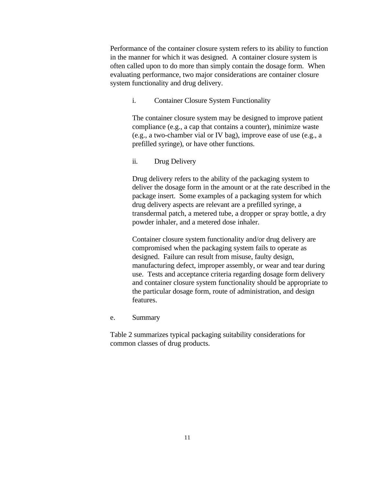Performance of the container closure system refers to its ability to function in the manner for which it was designed. A container closure system is often called upon to do more than simply contain the dosage form. When evaluating performance, two major considerations are container closure system functionality and drug delivery.

i. Container Closure System Functionality

The container closure system may be designed to improve patient compliance (e.g., a cap that contains a counter), minimize waste (e.g., a two-chamber vial or IV bag), improve ease of use (e.g., a prefilled syringe), or have other functions.

ii. Drug Delivery

Drug delivery refers to the ability of the packaging system to deliver the dosage form in the amount or at the rate described in the package insert. Some examples of a packaging system for which drug delivery aspects are relevant are a prefilled syringe, a transdermal patch, a metered tube, a dropper or spray bottle, a dry powder inhaler, and a metered dose inhaler.

Container closure system functionality and/or drug delivery are compromised when the packaging system fails to operate as designed. Failure can result from misuse, faulty design, manufacturing defect, improper assembly, or wear and tear during use. Tests and acceptance criteria regarding dosage form delivery and container closure system functionality should be appropriate to the particular dosage form, route of administration, and design features.

e. Summary

Table 2 summarizes typical packaging suitability considerations for common classes of drug products.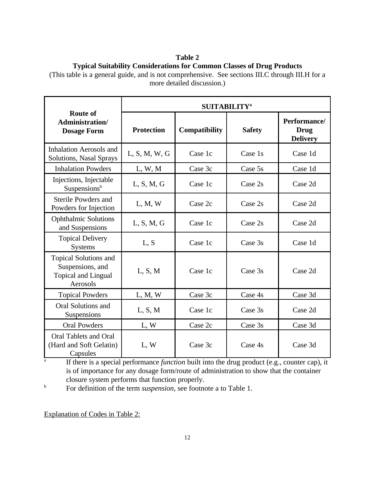#### **Table 2**

#### **Typical Suitability Considerations for Common Classes of Drug Products**

(This table is a general guide, and is not comprehensive. See sections III.C through III.H for a more detailed discussion.)

|                                                                                            | <b>SUITABILITY<sup>a</sup></b> |               |               |                                                |
|--------------------------------------------------------------------------------------------|--------------------------------|---------------|---------------|------------------------------------------------|
| <b>Route of</b><br>Administration/<br><b>Dosage Form</b>                                   | <b>Protection</b>              | Compatibility | <b>Safety</b> | Performance/<br><b>Drug</b><br><b>Delivery</b> |
| Inhalation Aerosols and<br>Solutions, Nasal Sprays                                         | L, S, M, W, G                  | Case 1c       | Case 1s       | Case 1d                                        |
| <b>Inhalation Powders</b>                                                                  | L, W, M                        | Case 3c       | Case 5s       | Case 1d                                        |
| Injections, Injectable<br>Suspensions <sup>b</sup>                                         | L, S, M, G                     | Case 1c       | Case 2s       | Case 2d                                        |
| Sterile Powders and<br>Powders for Injection                                               | L, M, W                        | Case 2c       | Case 2s       | Case 2d                                        |
| <b>Ophthalmic Solutions</b><br>and Suspensions                                             | L, S, M, G                     | Case 1c       | Case 2s       | Case 2d                                        |
| <b>Topical Delivery</b><br><b>Systems</b>                                                  | L, S                           | Case 1c       | Case 3s       | Case 1d                                        |
| <b>Topical Solutions and</b><br>Suspensions, and<br><b>Topical and Lingual</b><br>Aerosols | L, S, M                        | Case 1c       | Case 3s       | Case 2d                                        |
| <b>Topical Powders</b>                                                                     | L, M, W                        | Case 3c       | Case 4s       | Case 3d                                        |
| Oral Solutions and<br>Suspensions                                                          | L, S, M                        | Case 1c       | Case 3s       | Case 2d                                        |
| <b>Oral Powders</b>                                                                        | L, W                           | Case 2c       | Case 3s       | Case 3d                                        |
| <b>Oral Tablets and Oral</b><br>(Hard and Soft Gelatin)<br>Capsules                        | L, W                           | Case 3c       | Case 4s       | Case 3d                                        |

<sup>a</sup> If there is a special performance *function* built into the drug product (e.g., counter cap), it is of importance for any dosage form/route of administration to show that the container closure system performs that function properly.

<sup>b</sup> For definition of the term *suspension*, see footnote a to Table 1.

Explanation of Codes in Table 2: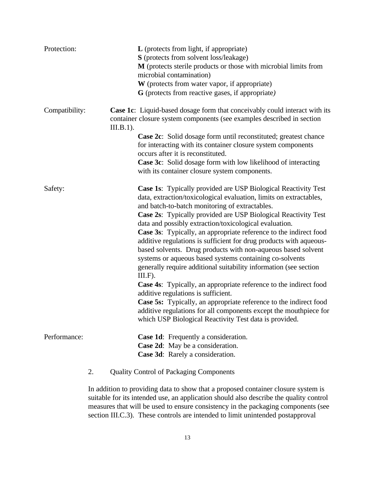| Protection:    | <b>L</b> (protects from light, if appropriate)                                                                                                                                                                                                                                                                                                                                                                                                                                                                                                                                                                                                                                                                                                                                                                                                                                                                                                                                                     |
|----------------|----------------------------------------------------------------------------------------------------------------------------------------------------------------------------------------------------------------------------------------------------------------------------------------------------------------------------------------------------------------------------------------------------------------------------------------------------------------------------------------------------------------------------------------------------------------------------------------------------------------------------------------------------------------------------------------------------------------------------------------------------------------------------------------------------------------------------------------------------------------------------------------------------------------------------------------------------------------------------------------------------|
|                | <b>S</b> (protects from solvent loss/leakage)                                                                                                                                                                                                                                                                                                                                                                                                                                                                                                                                                                                                                                                                                                                                                                                                                                                                                                                                                      |
|                | M (protects sterile products or those with microbial limits from<br>microbial contamination)                                                                                                                                                                                                                                                                                                                                                                                                                                                                                                                                                                                                                                                                                                                                                                                                                                                                                                       |
|                | W (protects from water vapor, if appropriate)                                                                                                                                                                                                                                                                                                                                                                                                                                                                                                                                                                                                                                                                                                                                                                                                                                                                                                                                                      |
|                | G (protects from reactive gases, if appropriate)                                                                                                                                                                                                                                                                                                                                                                                                                                                                                                                                                                                                                                                                                                                                                                                                                                                                                                                                                   |
| Compatibility: | <b>Case 1c:</b> Liquid-based dosage form that conceivably could interact with its<br>container closure system components (see examples described in section<br>III.B.1).                                                                                                                                                                                                                                                                                                                                                                                                                                                                                                                                                                                                                                                                                                                                                                                                                           |
|                | Case 2c: Solid dosage form until reconstituted; greatest chance                                                                                                                                                                                                                                                                                                                                                                                                                                                                                                                                                                                                                                                                                                                                                                                                                                                                                                                                    |
|                | for interacting with its container closure system components                                                                                                                                                                                                                                                                                                                                                                                                                                                                                                                                                                                                                                                                                                                                                                                                                                                                                                                                       |
|                | occurs after it is reconstituted.                                                                                                                                                                                                                                                                                                                                                                                                                                                                                                                                                                                                                                                                                                                                                                                                                                                                                                                                                                  |
|                | Case 3c: Solid dosage form with low likelihood of interacting                                                                                                                                                                                                                                                                                                                                                                                                                                                                                                                                                                                                                                                                                                                                                                                                                                                                                                                                      |
|                | with its container closure system components.                                                                                                                                                                                                                                                                                                                                                                                                                                                                                                                                                                                                                                                                                                                                                                                                                                                                                                                                                      |
| Safety:        | Case 1s: Typically provided are USP Biological Reactivity Test<br>data, extraction/toxicological evaluation, limits on extractables,<br>and batch-to-batch monitoring of extractables.<br>Case 2s: Typically provided are USP Biological Reactivity Test<br>data and possibly extraction/toxicological evaluation.<br>Case 3s: Typically, an appropriate reference to the indirect food<br>additive regulations is sufficient for drug products with aqueous-<br>based solvents. Drug products with non-aqueous based solvent<br>systems or aqueous based systems containing co-solvents<br>generally require additional suitability information (see section<br>$III.F$ ).<br>Case 4s: Typically, an appropriate reference to the indirect food<br>additive regulations is sufficient.<br><b>Case 5s:</b> Typically, an appropriate reference to the indirect food<br>additive regulations for all components except the mouthpiece for<br>which USP Biological Reactivity Test data is provided. |
| Performance:   | <b>Case 1d:</b> Frequently a consideration.                                                                                                                                                                                                                                                                                                                                                                                                                                                                                                                                                                                                                                                                                                                                                                                                                                                                                                                                                        |
|                | Case 2d: May be a consideration.                                                                                                                                                                                                                                                                                                                                                                                                                                                                                                                                                                                                                                                                                                                                                                                                                                                                                                                                                                   |
|                | Case 3d: Rarely a consideration.                                                                                                                                                                                                                                                                                                                                                                                                                                                                                                                                                                                                                                                                                                                                                                                                                                                                                                                                                                   |
| 2.             | <b>Quality Control of Packaging Components</b>                                                                                                                                                                                                                                                                                                                                                                                                                                                                                                                                                                                                                                                                                                                                                                                                                                                                                                                                                     |

In addition to providing data to show that a proposed container closure system is suitable for its intended use, an application should also describe the quality control measures that will be used to ensure consistency in the packaging components (see section III.C.3). These controls are intended to limit unintended postapproval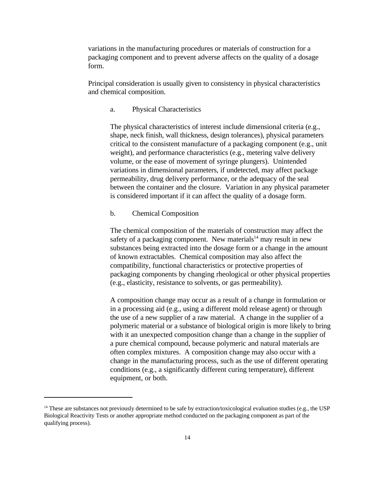variations in the manufacturing procedures or materials of construction for a packaging component and to prevent adverse affects on the quality of a dosage form.

Principal consideration is usually given to consistency in physical characteristics and chemical composition.

a. Physical Characteristics

The physical characteristics of interest include dimensional criteria (e.g., shape, neck finish, wall thickness, design tolerances), physical parameters critical to the consistent manufacture of a packaging component (e.g., unit weight), and performance characteristics (e.g., metering valve delivery volume, or the ease of movement of syringe plungers). Unintended variations in dimensional parameters, if undetected, may affect package permeability, drug delivery performance, or the adequacy of the seal between the container and the closure. Variation in any physical parameter is considered important if it can affect the quality of a dosage form.

b. Chemical Composition

The chemical composition of the materials of construction may affect the safety of a packaging component. New materials<sup>14</sup> may result in new substances being extracted into the dosage form or a change in the amount of known extractables. Chemical composition may also affect the compatibility, functional characteristics or protective properties of packaging components by changing rheological or other physical properties (e.g., elasticity, resistance to solvents, or gas permeability).

A composition change may occur as a result of a change in formulation or in a processing aid (e.g., using a different mold release agent) or through the use of a new supplier of a raw material. A change in the supplier of a polymeric material or a substance of biological origin is more likely to bring with it an unexpected composition change than a change in the supplier of a pure chemical compound, because polymeric and natural materials are often complex mixtures. A composition change may also occur with a change in the manufacturing process, such as the use of different operating conditions (e.g., a significantly different curing temperature), different equipment, or both.

<sup>&</sup>lt;sup>14</sup> These are substances not previously determined to be safe by extraction/toxicological evaluation studies (e.g., the USP Biological Reactivity Tests or another appropriate method conducted on the packaging component as part of the qualifying process).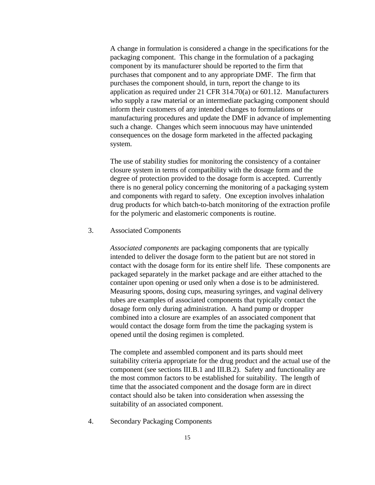A change in formulation is considered a change in the specifications for the packaging component. This change in the formulation of a packaging component by its manufacturer should be reported to the firm that purchases that component and to any appropriate DMF. The firm that purchases the component should, in turn, report the change to its application as required under 21 CFR 314.70(a) or 601.12. Manufacturers who supply a raw material or an intermediate packaging component should inform their customers of any intended changes to formulations or manufacturing procedures and update the DMF in advance of implementing such a change. Changes which seem innocuous may have unintended consequences on the dosage form marketed in the affected packaging system.

The use of stability studies for monitoring the consistency of a container closure system in terms of compatibility with the dosage form and the degree of protection provided to the dosage form is accepted. Currently there is no general policy concerning the monitoring of a packaging system and components with regard to safety. One exception involves inhalation drug products for which batch-to-batch monitoring of the extraction profile for the polymeric and elastomeric components is routine.

#### 3. Associated Components

*Associated components* are packaging components that are typically intended to deliver the dosage form to the patient but are not stored in contact with the dosage form for its entire shelf life. These components are packaged separately in the market package and are either attached to the container upon opening or used only when a dose is to be administered. Measuring spoons, dosing cups, measuring syringes, and vaginal delivery tubes are examples of associated components that typically contact the dosage form only during administration. A hand pump or dropper combined into a closure are examples of an associated component that would contact the dosage form from the time the packaging system is opened until the dosing regimen is completed.

The complete and assembled component and its parts should meet suitability criteria appropriate for the drug product and the actual use of the component (see sections III.B.1 and III.B.2). Safety and functionality are the most common factors to be established for suitability. The length of time that the associated component and the dosage form are in direct contact should also be taken into consideration when assessing the suitability of an associated component.

4. Secondary Packaging Components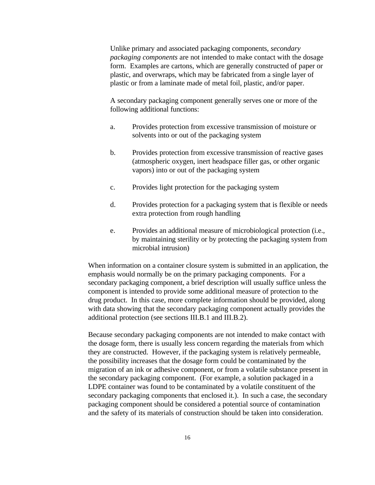Unlike primary and associated packaging components, *secondary packaging components* are not intended to make contact with the dosage form. Examples are cartons, which are generally constructed of paper or plastic, and overwraps, which may be fabricated from a single layer of plastic or from a laminate made of metal foil, plastic, and/or paper.

A secondary packaging component generally serves one or more of the following additional functions:

- a. Provides protection from excessive transmission of moisture or solvents into or out of the packaging system
- b. Provides protection from excessive transmission of reactive gases (atmospheric oxygen, inert headspace filler gas, or other organic vapors) into or out of the packaging system
- c. Provides light protection for the packaging system
- d. Provides protection for a packaging system that is flexible or needs extra protection from rough handling
- e. Provides an additional measure of microbiological protection (i.e., by maintaining sterility or by protecting the packaging system from microbial intrusion)

When information on a container closure system is submitted in an application, the emphasis would normally be on the primary packaging components. For a secondary packaging component, a brief description will usually suffice unless the component is intended to provide some additional measure of protection to the drug product. In this case, more complete information should be provided, along with data showing that the secondary packaging component actually provides the additional protection (see sections III.B.1 and III.B.2).

Because secondary packaging components are not intended to make contact with the dosage form, there is usually less concern regarding the materials from which they are constructed. However, if the packaging system is relatively permeable, the possibility increases that the dosage form could be contaminated by the migration of an ink or adhesive component, or from a volatile substance present in the secondary packaging component. (For example, a solution packaged in a LDPE container was found to be contaminated by a volatile constituent of the secondary packaging components that enclosed it.). In such a case, the secondary packaging component should be considered a potential source of contamination and the safety of its materials of construction should be taken into consideration.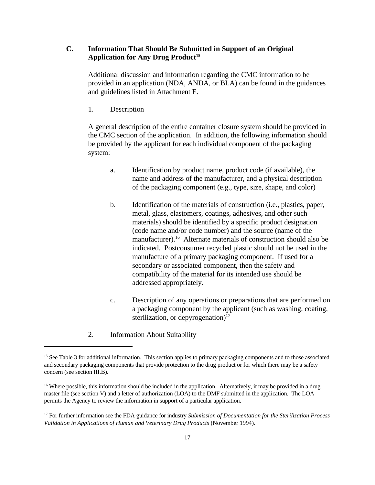#### **C. Information That Should Be Submitted in Support of an Original Application for Any Drug Product<sup>15</sup>**

Additional discussion and information regarding the CMC information to be provided in an application (NDA, ANDA, or BLA) can be found in the guidances and guidelines listed in Attachment E.

1. Description

A general description of the entire container closure system should be provided in the CMC section of the application. In addition, the following information should be provided by the applicant for each individual component of the packaging system:

- a. Identification by product name, product code (if available), the name and address of the manufacturer, and a physical description of the packaging component (e.g., type, size, shape, and color)
- b. Identification of the materials of construction (i.e., plastics, paper, metal, glass, elastomers, coatings, adhesives, and other such materials) should be identified by a specific product designation (code name and/or code number) and the source (name of the manufacturer).<sup>16</sup> Alternate materials of construction should also be indicated. Postconsumer recycled plastic should not be used in the manufacture of a primary packaging component. If used for a secondary or associated component, then the safety and compatibility of the material for its intended use should be addressed appropriately.
- c. Description of any operations or preparations that are performed on a packaging component by the applicant (such as washing, coating, sterilization, or depyrogenation) $17$
- 2. Information About Suitability

<sup>&</sup>lt;sup>15</sup> See Table 3 for additional information. This section applies to primary packaging components and to those associated and secondary packaging components that provide protection to the drug product or for which there may be a safety concern (see section III.B).

 $16$  Where possible, this information should be included in the application. Alternatively, it may be provided in a drug master file (see section V) and a letter of authorization (LOA) to the DMF submitted in the application. The LOA permits the Agency to review the information in support of a particular application.

<sup>&</sup>lt;sup>17</sup> For further information see the FDA guidance for industry *Submission of Documentation for the Sterilization Process Validation in Applications of Human and Veterinary Drug Products* (November 1994).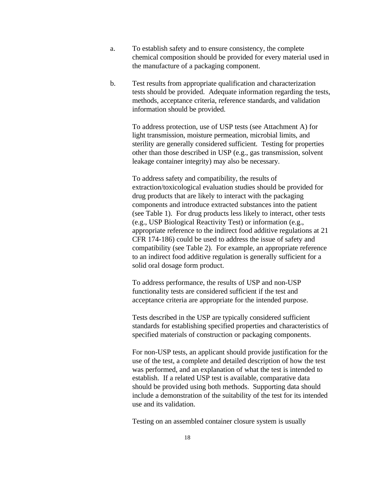- a. To establish safety and to ensure consistency, the complete chemical composition should be provided for every material used in the manufacture of a packaging component.
- b. Test results from appropriate qualification and characterization tests should be provided. Adequate information regarding the tests, methods, acceptance criteria, reference standards, and validation information should be provided.

To address protection, use of USP tests (see Attachment A) for light transmission, moisture permeation, microbial limits, and sterility are generally considered sufficient. Testing for properties other than those described in USP (e.g., gas transmission, solvent leakage container integrity) may also be necessary.

To address safety and compatibility, the results of extraction/toxicological evaluation studies should be provided for drug products that are likely to interact with the packaging components and introduce extracted substances into the patient (see Table 1). For drug products less likely to interact, other tests (e.g., USP Biological Reactivity Test) or information (e.g., appropriate reference to the indirect food additive regulations at 21 CFR 174-186) could be used to address the issue of safety and compatibility (see Table 2). For example, an appropriate reference to an indirect food additive regulation is generally sufficient for a solid oral dosage form product.

To address performance, the results of USP and non-USP functionality tests are considered sufficient if the test and acceptance criteria are appropriate for the intended purpose.

Tests described in the USP are typically considered sufficient standards for establishing specified properties and characteristics of specified materials of construction or packaging components.

For non-USP tests, an applicant should provide justification for the use of the test, a complete and detailed description of how the test was performed, and an explanation of what the test is intended to establish. If a related USP test is available, comparative data should be provided using both methods. Supporting data should include a demonstration of the suitability of the test for its intended use and its validation.

Testing on an assembled container closure system is usually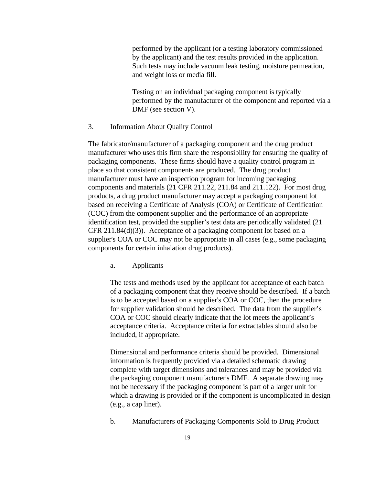performed by the applicant (or a testing laboratory commissioned by the applicant) and the test results provided in the application. Such tests may include vacuum leak testing, moisture permeation, and weight loss or media fill.

Testing on an individual packaging component is typically performed by the manufacturer of the component and reported via a DMF (see section V).

3. Information About Quality Control

The fabricator/manufacturer of a packaging component and the drug product manufacturer who uses this firm share the responsibility for ensuring the quality of packaging components. These firms should have a quality control program in place so that consistent components are produced. The drug product manufacturer must have an inspection program for incoming packaging components and materials (21 CFR 211.22, 211.84 and 211.122). For most drug products, a drug product manufacturer may accept a packaging component lot based on receiving a Certificate of Analysis (COA) or Certificate of Certification (COC) from the component supplier and the performance of an appropriate identification test, provided the supplier's test data are periodically validated (21 CFR 211.84(d)(3)). Acceptance of a packaging component lot based on a supplier's COA or COC may not be appropriate in all cases (e.g., some packaging components for certain inhalation drug products).

a. Applicants

The tests and methods used by the applicant for acceptance of each batch of a packaging component that they receive should be described. If a batch is to be accepted based on a supplier's COA or COC, then the procedure for supplier validation should be described. The data from the supplier's COA or COC should clearly indicate that the lot meets the applicant's acceptance criteria. Acceptance criteria for extractables should also be included, if appropriate.

Dimensional and performance criteria should be provided. Dimensional information is frequently provided via a detailed schematic drawing complete with target dimensions and tolerances and may be provided via the packaging component manufacturer's DMF. A separate drawing may not be necessary if the packaging component is part of a larger unit for which a drawing is provided or if the component is uncomplicated in design (e.g., a cap liner).

b. Manufacturers of Packaging Components Sold to Drug Product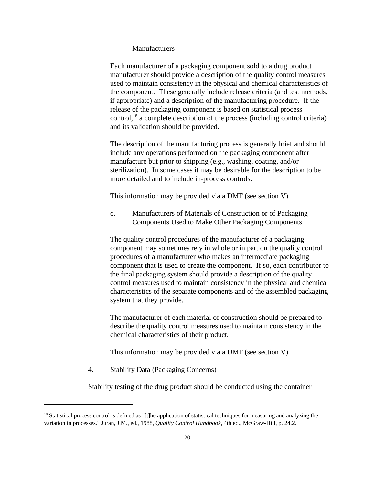#### Manufacturers

Each manufacturer of a packaging component sold to a drug product manufacturer should provide a description of the quality control measures used to maintain consistency in the physical and chemical characteristics of the component. These generally include release criteria (and test methods, if appropriate) and a description of the manufacturing procedure. If the release of the packaging component is based on statistical process control,  $^{18}$  a complete description of the process (including control criteria) and its validation should be provided.

The description of the manufacturing process is generally brief and should include any operations performed on the packaging component after manufacture but prior to shipping (e.g., washing, coating, and/or sterilization). In some cases it may be desirable for the description to be more detailed and to include in-process controls.

This information may be provided via a DMF (see section V).

c. Manufacturers of Materials of Construction or of Packaging Components Used to Make Other Packaging Components

The quality control procedures of the manufacturer of a packaging component may sometimes rely in whole or in part on the quality control procedures of a manufacturer who makes an intermediate packaging component that is used to create the component. If so, each contributor to the final packaging system should provide a description of the quality control measures used to maintain consistency in the physical and chemical characteristics of the separate components and of the assembled packaging system that they provide.

The manufacturer of each material of construction should be prepared to describe the quality control measures used to maintain consistency in the chemical characteristics of their product.

This information may be provided via a DMF (see section V).

4. Stability Data (Packaging Concerns)

Stability testing of the drug product should be conducted using the container

<sup>&</sup>lt;sup>18</sup> Statistical process control is defined as "[t]he application of statistical techniques for measuring and analyzing the variation in processes." Juran, J.M., ed., 1988, *Quality Control Handbook*, 4th ed., McGraw-Hill, p. 24.2.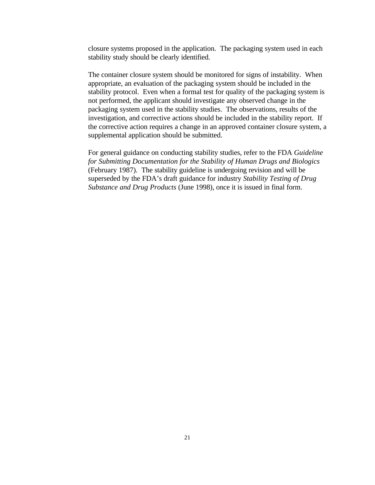closure systems proposed in the application. The packaging system used in each stability study should be clearly identified.

The container closure system should be monitored for signs of instability. When appropriate, an evaluation of the packaging system should be included in the stability protocol. Even when a formal test for quality of the packaging system is not performed, the applicant should investigate any observed change in the packaging system used in the stability studies. The observations, results of the investigation, and corrective actions should be included in the stability report. If the corrective action requires a change in an approved container closure system, a supplemental application should be submitted.

For general guidance on conducting stability studies, refer to the FDA *Guideline for Submitting Documentation for the Stability of Human Drugs and Biologics* (February 1987)*.* The stability guideline is undergoing revision and will be superseded by the FDA's draft guidance for industry *Stability Testing of Drug Substance and Drug Products* (June 1998), once it is issued in final form.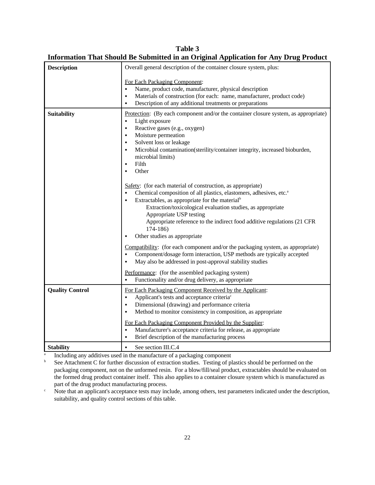**Table 3 Information That Should Be Submitted in an Original Application for Any Drug Product**

| <b>Description</b>                                                                                                                                                                                                                                                                                                                                                                                          | Overall general description of the container closure system, plus:                                                                                                                                                                                                                                                                                                                                                                           |
|-------------------------------------------------------------------------------------------------------------------------------------------------------------------------------------------------------------------------------------------------------------------------------------------------------------------------------------------------------------------------------------------------------------|----------------------------------------------------------------------------------------------------------------------------------------------------------------------------------------------------------------------------------------------------------------------------------------------------------------------------------------------------------------------------------------------------------------------------------------------|
|                                                                                                                                                                                                                                                                                                                                                                                                             | For Each Packaging Component:<br>Name, product code, manufacturer, physical description<br>$\bullet$<br>Materials of construction (for each: name, manufacturer, product code)<br>$\bullet$<br>Description of any additional treatments or preparations<br>$\bullet$                                                                                                                                                                         |
| Suitability<br>Protection: (By each component and/or the container closure system, as appropriate)<br>Light exposure<br>$\bullet$<br>Reactive gases (e.g., oxygen)<br>$\bullet$<br>Moisture permeation<br>$\bullet$<br>Solvent loss or leakage<br>$\bullet$<br>Microbial contamination(sterility/container integrity, increased bioburden,<br>microbial limits)<br>Filth<br>$\bullet$<br>Other<br>$\bullet$ |                                                                                                                                                                                                                                                                                                                                                                                                                                              |
|                                                                                                                                                                                                                                                                                                                                                                                                             | Safety: (for each material of construction, as appropriate)<br>Chemical composition of all plastics, elastomers, adhesives, etc. <sup>a</sup><br>Extractables, as appropriate for the material <sup>b</sup><br>Extraction/toxicological evaluation studies, as appropriate<br>Appropriate USP testing<br>Appropriate reference to the indirect food additive regulations (21 CFR<br>$174 - 186$<br>Other studies as appropriate<br>$\bullet$ |
|                                                                                                                                                                                                                                                                                                                                                                                                             | Compatibility: (for each component and/or the packaging system, as appropriate)<br>Component/dosage form interaction, USP methods are typically accepted<br>May also be addressed in post-approval stability studies<br>$\bullet$                                                                                                                                                                                                            |
|                                                                                                                                                                                                                                                                                                                                                                                                             | Performance: (for the assembled packaging system)<br>Functionality and/or drug delivery, as appropriate<br>$\bullet$                                                                                                                                                                                                                                                                                                                         |
| <b>Quality Control</b>                                                                                                                                                                                                                                                                                                                                                                                      | For Each Packaging Component Received by the Applicant:<br>Applicant's tests and acceptance criteria <sup>c</sup><br>$\bullet$<br>Dimensional (drawing) and performance criteria<br>$\bullet$<br>Method to monitor consistency in composition, as appropriate<br>$\bullet$                                                                                                                                                                   |
|                                                                                                                                                                                                                                                                                                                                                                                                             | For Each Packaging Component Provided by the Supplier:<br>Manufacturer's acceptance criteria for release, as appropriate<br>$\bullet$<br>Brief description of the manufacturing process<br>$\bullet$                                                                                                                                                                                                                                         |
| <b>Stability</b>                                                                                                                                                                                                                                                                                                                                                                                            | See section III.C.4<br>$\bullet$                                                                                                                                                                                                                                                                                                                                                                                                             |

Including any additives used in the manufacture of a packaging component<br>  $\frac{b}{c}$  See Attachment C for further discussion of extraction studies. Testing of pl

See Attachment C for further discussion of extraction studies. Testing of plastics should be performed on the packaging component, not on the unformed resin. For a blow/fill/seal product, extractables should be evaluated on the formed drug product container itself. This also applies to a container closure system which is manufactured as part of the drug product manufacturing process.

<sup>c</sup> Note that an applicant's acceptance tests may include, among others, test parameters indicated under the description, suitability, and quality control sections of this table.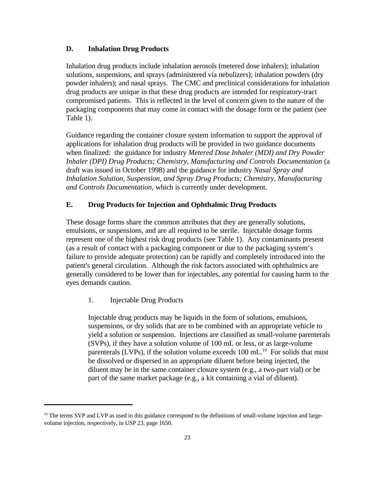#### **D. Inhalation Drug Products**

Inhalation drug products include inhalation aerosols (metered dose inhalers); inhalation solutions, suspensions, and sprays (administered via nebulizers); inhalation powders (dry powder inhalers); and nasal sprays. The CMC and preclinical considerations for inhalation drug products are unique in that these drug products are intended for respiratory-tract compromised patients. This is reflected in the level of concern given to the nature of the packaging components that may come in contact with the dosage form or the patient (see Table 1).

Guidance regarding the container closure system information to support the approval of applications for inhalation drug products will be provided in two guidance documents when finalized: the guidance for industry *Metered Dose Inhaler (MDI) and Dry Powder Inhaler (DPI) Drug Products; Chemistry, Manufacturing and Controls Documentation* (a draft was issued in October 1998) and the guidance for industry *Nasal Spray and Inhalation Solution, Suspension, and Spray Drug Products; Chemistry, Manufacturing and Controls Documentation,* which is currently under development.

#### **E. Drug Products for Injection and Ophthalmic Drug Products**

These dosage forms share the common attributes that they are generally solutions, emulsions, or suspensions, and are all required to be sterile. Injectable dosage forms represent one of the highest risk drug products (see Table 1). Any contaminants present (as a result of contact with a packaging component or due to the packaging system's failure to provide adequate protection) can be rapidly and completely introduced into the patient's general circulation. Although the risk factors associated with ophthalmics are generally considered to be lower than for injectables, any potential for causing harm to the eyes demands caution.

1. Injectable Drug Products

Injectable drug products may be liquids in the form of solutions, emulsions, suspensions, or dry solids that are to be combined with an appropriate vehicle to yield a solution or suspension. Injections are classified as small-volume parenterals (SVPs), if they have a solution volume of 100 mL or less, or as large-volume parenterals (LVPs), if the solution volume exceeds  $100 \text{ mL}^{19}$ . For solids that must be dissolved or dispersed in an appropriate diluent before being injected, the diluent may be in the same container closure system (e.g., a two-part vial) or be part of the same market package (e.g., a kit containing a vial of diluent).

<sup>&</sup>lt;sup>19</sup> The terms SVP and LVP as used in this guidance correspond to the definitions of small-volume injection and largevolume injection, respectively, in USP 23, page 1650.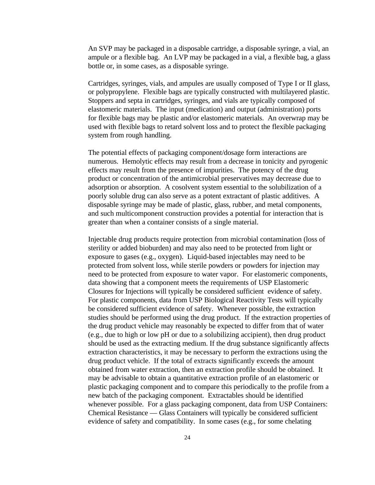An SVP may be packaged in a disposable cartridge, a disposable syringe, a vial, an ampule or a flexible bag. An LVP may be packaged in a vial, a flexible bag, a glass bottle or, in some cases, as a disposable syringe.

Cartridges, syringes, vials, and ampules are usually composed of Type I or II glass, or polypropylene. Flexible bags are typically constructed with multilayered plastic. Stoppers and septa in cartridges, syringes, and vials are typically composed of elastomeric materials. The input (medication) and output (administration) ports for flexible bags may be plastic and/or elastomeric materials. An overwrap may be used with flexible bags to retard solvent loss and to protect the flexible packaging system from rough handling.

The potential effects of packaging component/dosage form interactions are numerous. Hemolytic effects may result from a decrease in tonicity and pyrogenic effects may result from the presence of impurities. The potency of the drug product or concentration of the antimicrobial preservatives may decrease due to adsorption or absorption. A cosolvent system essential to the solubilization of a poorly soluble drug can also serve as a potent extractant of plastic additives. A disposable syringe may be made of plastic, glass, rubber, and metal components, and such multicomponent construction provides a potential for interaction that is greater than when a container consists of a single material.

Injectable drug products require protection from microbial contamination (loss of sterility or added bioburden) and may also need to be protected from light or exposure to gases (e.g., oxygen). Liquid-based injectables may need to be protected from solvent loss, while sterile powders or powders for injection may need to be protected from exposure to water vapor. For elastomeric components, data showing that a component meets the requirements of USP Elastomeric Closures for Injections will typically be considered sufficient evidence of safety. For plastic components, data from USP Biological Reactivity Tests will typically be considered sufficient evidence of safety. Whenever possible, the extraction studies should be performed using the drug product. If the extraction properties of the drug product vehicle may reasonably be expected to differ from that of water (e.g., due to high or low pH or due to a solubilizing accipient), then drug product should be used as the extracting medium. If the drug substance significantly affects extraction characteristics, it may be necessary to perform the extractions using the drug product vehicle. If the total of extracts significantly exceeds the amount obtained from water extraction, then an extraction profile should be obtained. It may be advisable to obtain a quantitative extraction profile of an elastomeric or plastic packaging component and to compare this periodically to the profile from a new batch of the packaging component. Extractables should be identified whenever possible. For a glass packaging component, data from USP Containers: Chemical Resistance — Glass Containers will typically be considered sufficient evidence of safety and compatibility. In some cases (e.g., for some chelating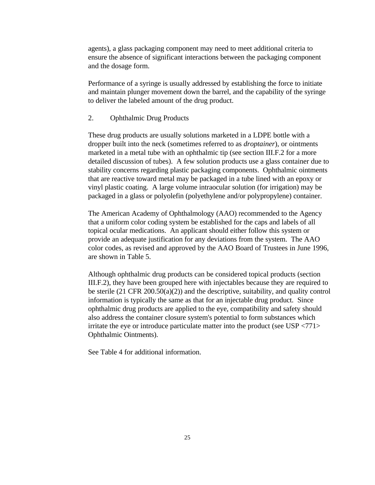agents), a glass packaging component may need to meet additional criteria to ensure the absence of significant interactions between the packaging component and the dosage form.

Performance of a syringe is usually addressed by establishing the force to initiate and maintain plunger movement down the barrel, and the capability of the syringe to deliver the labeled amount of the drug product.

#### 2. Ophthalmic Drug Products

These drug products are usually solutions marketed in a LDPE bottle with a dropper built into the neck (sometimes referred to as *droptainer*), or ointments marketed in a metal tube with an ophthalmic tip (see section III.F.2 for a more detailed discussion of tubes). A few solution products use a glass container due to stability concerns regarding plastic packaging components. Ophthalmic ointments that are reactive toward metal may be packaged in a tube lined with an epoxy or vinyl plastic coating. A large volume intraocular solution (for irrigation) may be packaged in a glass or polyolefin (polyethylene and/or polypropylene) container.

The American Academy of Ophthalmology (AAO) recommended to the Agency that a uniform color coding system be established for the caps and labels of all topical ocular medications. An applicant should either follow this system or provide an adequate justification for any deviations from the system. The AAO color codes, as revised and approved by the AAO Board of Trustees in June 1996, are shown in Table 5.

Although ophthalmic drug products can be considered topical products (section III.F.2), they have been grouped here with injectables because they are required to be sterile  $(21 \text{ CFR } 200.50(a)(2))$  and the descriptive, suitability, and quality control information is typically the same as that for an injectable drug product. Since ophthalmic drug products are applied to the eye, compatibility and safety should also address the container closure system's potential to form substances which irritate the eye or introduce particulate matter into the product (see USP <771> Ophthalmic Ointments).

See Table 4 for additional information.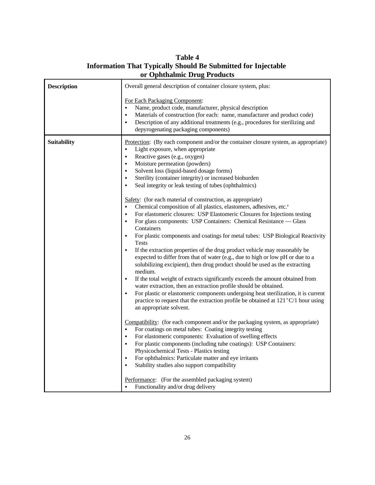| <b>Description</b> | Overall general description of container closure system, plus:                                                                                                                                                                                                                                                                                                                                                                                                                                                                                                                                                                                                                                                                                                                                                                                                                                                                                                                                                                                                                                                                |
|--------------------|-------------------------------------------------------------------------------------------------------------------------------------------------------------------------------------------------------------------------------------------------------------------------------------------------------------------------------------------------------------------------------------------------------------------------------------------------------------------------------------------------------------------------------------------------------------------------------------------------------------------------------------------------------------------------------------------------------------------------------------------------------------------------------------------------------------------------------------------------------------------------------------------------------------------------------------------------------------------------------------------------------------------------------------------------------------------------------------------------------------------------------|
|                    | For Each Packaging Component:<br>Name, product code, manufacturer, physical description<br>Materials of construction (for each: name, manufacturer and product code)<br>$\bullet$<br>Description of any additional treatments (e.g., procedures for sterilizing and<br>$\bullet$<br>depyrogenating packaging components)                                                                                                                                                                                                                                                                                                                                                                                                                                                                                                                                                                                                                                                                                                                                                                                                      |
| Suitability        | Protection: (By each component and/or the container closure system, as appropriate)<br>Light exposure, when appropriate<br>$\bullet$<br>Reactive gases (e.g., oxygen)<br>$\bullet$<br>Moisture permeation (powders)<br>$\bullet$<br>Solvent loss (liquid-based dosage forms)<br>$\bullet$<br>Sterility (container integrity) or increased bioburden<br>$\bullet$<br>Seal integrity or leak testing of tubes (ophthalmics)<br>$\bullet$                                                                                                                                                                                                                                                                                                                                                                                                                                                                                                                                                                                                                                                                                        |
|                    | Safety: (for each material of construction, as appropriate)<br>Chemical composition of all plastics, elastomers, adhesives, etc. <sup>a</sup><br>$\bullet$<br>For elastomeric closures: USP Elastomeric Closures for Injections testing<br>$\bullet$<br>For glass components: USP Containers: Chemical Resistance - Glass<br>$\bullet$<br>Containers<br>For plastic components and coatings for metal tubes: USP Biological Reactivity<br>$\bullet$<br><b>Tests</b><br>If the extraction properties of the drug product vehicle may reasonably be<br>$\bullet$<br>expected to differ from that of water (e.g., due to high or low pH or due to a<br>solubilizing excipient), then drug product should be used as the extracting<br>medium.<br>If the total weight of extracts significantly exceeds the amount obtained from<br>water extraction, then an extraction profile should be obtained.<br>For plastic or elastomeric components undergoing heat sterilization, it is current<br>$\bullet$<br>practice to request that the extraction profile be obtained at $121^{\circ}$ C/1 hour using<br>an appropriate solvent. |
|                    | Compatibility: (for each component and/or the packaging system, as appropriate)<br>For coatings on metal tubes: Coating integrity testing<br>$\bullet$<br>For elastomeric components: Evaluation of swelling effects<br>$\bullet$<br>For plastic components (including tube coatings): USP Containers:<br>$\bullet$<br>Physicochemical Tests - Plastics testing<br>For ophthalmics: Particulate matter and eye irritants<br>$\bullet$<br>Stability studies also support compatibility<br>$\bullet$                                                                                                                                                                                                                                                                                                                                                                                                                                                                                                                                                                                                                            |
|                    | Performance: (For the assembled packaging system)<br>Functionality and/or drug delivery                                                                                                                                                                                                                                                                                                                                                                                                                                                                                                                                                                                                                                                                                                                                                                                                                                                                                                                                                                                                                                       |

#### **Table 4 Information That Typically Should Be Submitted for Injectable or Ophthalmic Drug Products**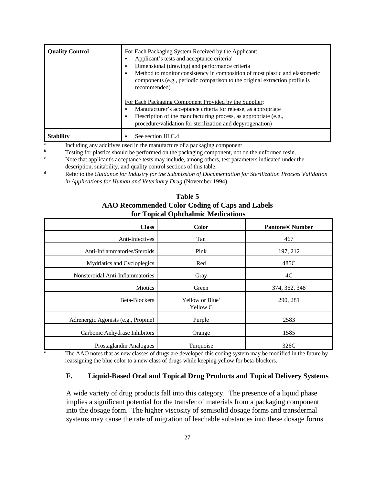| <b>Quality Control</b> | For Each Packaging System Received by the Applicant:<br>Applicant's tests and acceptance criteria <sup>c</sup><br>Dimensional (drawing) and performance criteria<br>٠<br>Method to monitor consistency in composition of most plastic and elastomeric<br>$\bullet$<br>components (e.g., periodic comparison to the original extraction profile is<br>recommended) |
|------------------------|-------------------------------------------------------------------------------------------------------------------------------------------------------------------------------------------------------------------------------------------------------------------------------------------------------------------------------------------------------------------|
|                        | For Each Packaging Component Provided by the Supplier:<br>Manufacturer's acceptance criteria for release, as appropriate<br>Description of the manufacturing process, as appropriate (e.g.,<br>٠<br>procedure/validation for sterilization and depyrogenation)                                                                                                    |
| <b>Stability</b>       | See section III.C.4<br>$T = 1 - 1!$ . The contract of $T = 1!$ and the contract of $C = 1$ and $C = 1$ and $C = 1$                                                                                                                                                                                                                                                |

 $\sum_{b}^{a}$  Including any additives used in the manufacture of a packaging component a.

Testing for plastics should be performed on the packaging component, not on the unformed resin. b.

<sup>c.</sup> Note that applicant's acceptance tests may include, among others, test parameters indicated under the description, suitability, and quality control sections of this table.

<sup>d</sup> Refer to the *Guidance for Industry for the Submission of Documentation for Sterilization Process Validation in Applications for Human and Veterinary Drug* (November 1994).

#### **Table 5 AAO Recommended Color Coding of Caps and Labels for Topical Ophthalmic Medications**

| <b>Class</b>                        | <b>Color</b>                            | <b>Pantone® Number</b> |
|-------------------------------------|-----------------------------------------|------------------------|
| Anti-Infectives                     | Tan                                     | 467                    |
| Anti-Inflammatories/Steroids        | Pink                                    | 197, 212               |
| Mydriatics and Cycloplegics         | Red                                     | 485C                   |
| Nonsteroidal Anti-Inflammatories    | Gray                                    | 4C                     |
| <b>Miotics</b>                      | Green                                   | 374, 362, 348          |
| Beta-Blockers                       | Yellow or Blue <sup>a</sup><br>Yellow C | 290, 281               |
| Adrenergic Agonists (e.g., Propine) | Purple                                  | 2583                   |
| Carbonic Anhydrase Inhibitors       | Orange                                  | 1585                   |
| Prostaglandin Analogues             | Turquoise                               | 326C                   |

The AAO notes that as new classes of drugs are developed this coding system may be modified in the future by reassigning the blue color to a new class of drugs while keeping yellow for beta-blockers.

#### **F. Liquid-Based Oral and Topical Drug Products and Topical Delivery Systems**

A wide variety of drug products fall into this category. The presence of a liquid phase implies a significant potential for the transfer of materials from a packaging component into the dosage form. The higher viscosity of semisolid dosage forms and transdermal systems may cause the rate of migration of leachable substances into these dosage forms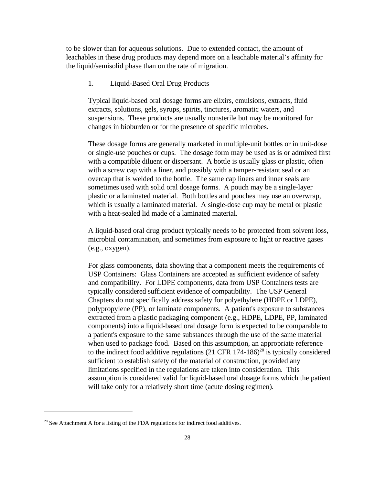to be slower than for aqueous solutions. Due to extended contact, the amount of leachables in these drug products may depend more on a leachable material's affinity for the liquid/semisolid phase than on the rate of migration.

#### 1. Liquid-Based Oral Drug Products

Typical liquid-based oral dosage forms are elixirs, emulsions, extracts, fluid extracts, solutions, gels, syrups, spirits, tinctures, aromatic waters, and suspensions. These products are usually nonsterile but may be monitored for changes in bioburden or for the presence of specific microbes.

These dosage forms are generally marketed in multiple-unit bottles or in unit-dose or single-use pouches or cups. The dosage form may be used as is or admixed first with a compatible diluent or dispersant. A bottle is usually glass or plastic, often with a screw cap with a liner, and possibly with a tamper-resistant seal or an overcap that is welded to the bottle. The same cap liners and inner seals are sometimes used with solid oral dosage forms. A pouch may be a single-layer plastic or a laminated material. Both bottles and pouches may use an overwrap, which is usually a laminated material. A single-dose cup may be metal or plastic with a heat-sealed lid made of a laminated material.

A liquid-based oral drug product typically needs to be protected from solvent loss, microbial contamination, and sometimes from exposure to light or reactive gases (e.g., oxygen).

For glass components, data showing that a component meets the requirements of USP Containers: Glass Containers are accepted as sufficient evidence of safety and compatibility. For LDPE components, data from USP Containers tests are typically considered sufficient evidence of compatibility. The USP General Chapters do not specifically address safety for polyethylene (HDPE or LDPE), polypropylene (PP), or laminate components. A patient's exposure to substances extracted from a plastic packaging component (e.g., HDPE, LDPE, PP, laminated components) into a liquid-based oral dosage form is expected to be comparable to a patient's exposure to the same substances through the use of the same material when used to package food. Based on this assumption, an appropriate reference to the indirect food additive regulations  $(21 \text{ CFR } 174-186)^{20}$  is typically considered sufficient to establish safety of the material of construction, provided any limitations specified in the regulations are taken into consideration. This assumption is considered valid for liquid-based oral dosage forms which the patient will take only for a relatively short time (acute dosing regimen).

 $20$  See Attachment A for a listing of the FDA regulations for indirect food additives.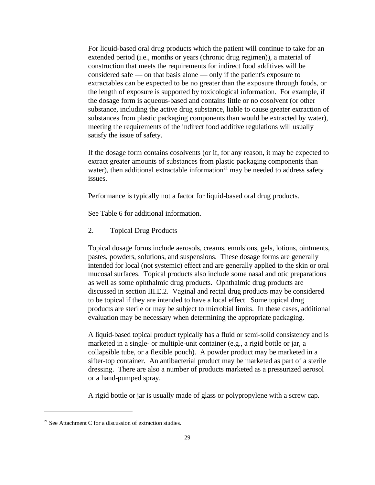For liquid-based oral drug products which the patient will continue to take for an extended period (i.e., months or years (chronic drug regimen)), a material of construction that meets the requirements for indirect food additives will be considered safe — on that basis alone — only if the patient's exposure to extractables can be expected to be no greater than the exposure through foods, or the length of exposure is supported by toxicological information. For example, if the dosage form is aqueous-based and contains little or no cosolvent (or other substance, including the active drug substance, liable to cause greater extraction of substances from plastic packaging components than would be extracted by water), meeting the requirements of the indirect food additive regulations will usually satisfy the issue of safety.

If the dosage form contains cosolvents (or if, for any reason, it may be expected to extract greater amounts of substances from plastic packaging components than water), then additional extractable information<sup>21</sup> may be needed to address safety issues.

Performance is typically not a factor for liquid-based oral drug products.

See Table 6 for additional information.

2. Topical Drug Products

Topical dosage forms include aerosols, creams, emulsions, gels, lotions, ointments, pastes, powders, solutions, and suspensions. These dosage forms are generally intended for local (not systemic) effect and are generally applied to the skin or oral mucosal surfaces. Topical products also include some nasal and otic preparations as well as some ophthalmic drug products. Ophthalmic drug products are discussed in section III.E.2. Vaginal and rectal drug products may be considered to be topical if they are intended to have a local effect. Some topical drug products are sterile or may be subject to microbial limits. In these cases, additional evaluation may be necessary when determining the appropriate packaging.

A liquid-based topical product typically has a fluid or semi-solid consistency and is marketed in a single- or multiple-unit container (e.g., a rigid bottle or jar, a collapsible tube, or a flexible pouch). A powder product may be marketed in a sifter-top container. An antibacterial product may be marketed as part of a sterile dressing. There are also a number of products marketed as a pressurized aerosol or a hand-pumped spray.

A rigid bottle or jar is usually made of glass or polypropylene with a screw cap.

 $21$  See Attachment C for a discussion of extraction studies.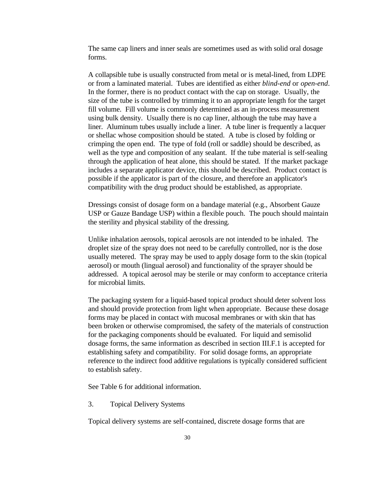The same cap liners and inner seals are sometimes used as with solid oral dosage forms.

A collapsible tube is usually constructed from metal or is metal-lined, from LDPE or from a laminated material. Tubes are identified as either *blind-end* or *open-end*. In the former, there is no product contact with the cap on storage. Usually, the size of the tube is controlled by trimming it to an appropriate length for the target fill volume. Fill volume is commonly determined as an in-process measurement using bulk density. Usually there is no cap liner, although the tube may have a liner. Aluminum tubes usually include a liner. A tube liner is frequently a lacquer or shellac whose composition should be stated. A tube is closed by folding or crimping the open end. The type of fold (roll or saddle) should be described, as well as the type and composition of any sealant. If the tube material is self-sealing through the application of heat alone, this should be stated. If the market package includes a separate applicator device, this should be described. Product contact is possible if the applicator is part of the closure, and therefore an applicator's compatibility with the drug product should be established, as appropriate.

Dressings consist of dosage form on a bandage material (e.g., Absorbent Gauze USP or Gauze Bandage USP) within a flexible pouch. The pouch should maintain the sterility and physical stability of the dressing.

Unlike inhalation aerosols, topical aerosols are not intended to be inhaled. The droplet size of the spray does not need to be carefully controlled, nor is the dose usually metered. The spray may be used to apply dosage form to the skin (topical aerosol) or mouth (lingual aerosol) and functionality of the sprayer should be addressed. A topical aerosol may be sterile or may conform to acceptance criteria for microbial limits.

The packaging system for a liquid-based topical product should deter solvent loss and should provide protection from light when appropriate. Because these dosage forms may be placed in contact with mucosal membranes or with skin that has been broken or otherwise compromised, the safety of the materials of construction for the packaging components should be evaluated. For liquid and semisolid dosage forms, the same information as described in section III.F.1 is accepted for establishing safety and compatibility. For solid dosage forms, an appropriate reference to the indirect food additive regulations is typically considered sufficient to establish safety.

See Table 6 for additional information.

3. Topical Delivery Systems

Topical delivery systems are self-contained, discrete dosage forms that are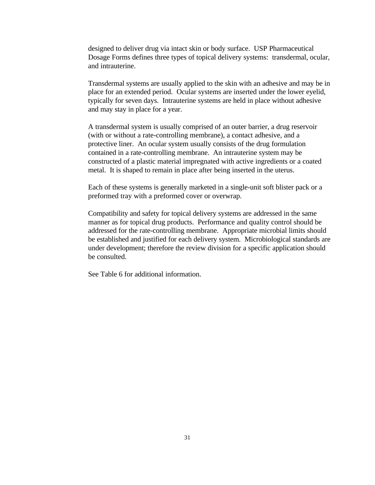designed to deliver drug via intact skin or body surface. USP Pharmaceutical Dosage Forms defines three types of topical delivery systems: transdermal, ocular, and intrauterine.

Transdermal systems are usually applied to the skin with an adhesive and may be in place for an extended period. Ocular systems are inserted under the lower eyelid, typically for seven days. Intrauterine systems are held in place without adhesive and may stay in place for a year.

A transdermal system is usually comprised of an outer barrier, a drug reservoir (with or without a rate-controlling membrane), a contact adhesive, and a protective liner. An ocular system usually consists of the drug formulation contained in a rate-controlling membrane. An intrauterine system may be constructed of a plastic material impregnated with active ingredients or a coated metal. It is shaped to remain in place after being inserted in the uterus.

Each of these systems is generally marketed in a single-unit soft blister pack or a preformed tray with a preformed cover or overwrap.

Compatibility and safety for topical delivery systems are addressed in the same manner as for topical drug products. Performance and quality control should be addressed for the rate-controlling membrane. Appropriate microbial limits should be established and justified for each delivery system. Microbiological standards are under development; therefore the review division for a specific application should be consulted.

See Table 6 for additional information.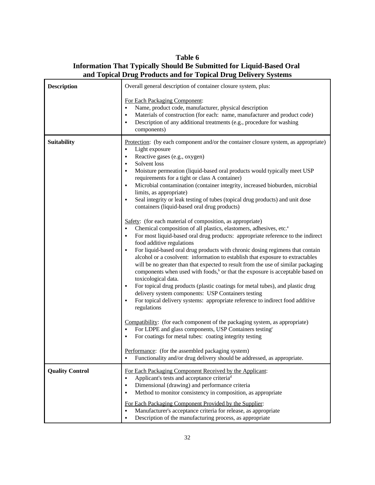| <b>Description</b>     | Overall general description of container closure system, plus:                                                                                                                                                                                                                                                                                                                                                                                                                                                                                                                                                                                                                                                                                                                                                                                                                                             |
|------------------------|------------------------------------------------------------------------------------------------------------------------------------------------------------------------------------------------------------------------------------------------------------------------------------------------------------------------------------------------------------------------------------------------------------------------------------------------------------------------------------------------------------------------------------------------------------------------------------------------------------------------------------------------------------------------------------------------------------------------------------------------------------------------------------------------------------------------------------------------------------------------------------------------------------|
|                        | For Each Packaging Component:<br>Name, product code, manufacturer, physical description<br>$\bullet$<br>Materials of construction (for each: name, manufacturer and product code)<br>$\bullet$<br>Description of any additional treatments (e.g., procedure for washing<br>$\bullet$<br>components)                                                                                                                                                                                                                                                                                                                                                                                                                                                                                                                                                                                                        |
| Suitability            | Protection: (by each component and/or the container closure system, as appropriate)<br>Light exposure<br>$\bullet$<br>Reactive gases (e.g., oxygen)<br>$\bullet$<br>Solvent loss<br>$\bullet$<br>Moisture permeation (liquid-based oral products would typically meet USP<br>$\bullet$<br>requirements for a tight or class A container)<br>Microbial contamination (container integrity, increased bioburden, microbial<br>$\bullet$<br>limits, as appropriate)<br>Seal integrity or leak testing of tubes (topical drug products) and unit dose<br>$\bullet$<br>containers (liquid-based oral drug products)                                                                                                                                                                                                                                                                                             |
|                        | Safety: (for each material of composition, as appropriate)<br>Chemical composition of all plastics, elastomers, adhesives, etc. <sup>a</sup><br>For most liquid-based oral drug products: appropriate reference to the indirect<br>food additive regulations<br>For liquid-based oral drug products with chronic dosing regimens that contain<br>alcohol or a cosolvent: information to establish that exposure to extractables<br>will be no greater than that expected to result from the use of similar packaging<br>components when used with foods, <sup>b</sup> or that the exposure is acceptable based on<br>toxicological data.<br>For topical drug products (plastic coatings for metal tubes), and plastic drug<br>$\bullet$<br>delivery system components: USP Containers testing<br>For topical delivery systems: appropriate reference to indirect food additive<br>$\bullet$<br>regulations |
|                        | Compatibility: (for each component of the packaging system, as appropriate)<br>For LDPE and glass components, USP Containers testing <sup>c</sup><br>$\bullet$<br>For coatings for metal tubes: coating integrity testing<br>$\bullet$<br>Performance: (for the assembled packaging system)                                                                                                                                                                                                                                                                                                                                                                                                                                                                                                                                                                                                                |
|                        | Functionality and/or drug delivery should be addressed, as appropriate.<br>$\bullet$                                                                                                                                                                                                                                                                                                                                                                                                                                                                                                                                                                                                                                                                                                                                                                                                                       |
| <b>Quality Control</b> | For Each Packaging Component Received by the Applicant:<br>Applicant's tests and acceptance criteria <sup>d</sup><br>$\bullet$<br>Dimensional (drawing) and performance criteria<br>$\bullet$<br>Method to monitor consistency in composition, as appropriate<br>$\bullet$<br>For Each Packaging Component Provided by the Supplier:                                                                                                                                                                                                                                                                                                                                                                                                                                                                                                                                                                       |
|                        | Manufacturer's acceptance criteria for release, as appropriate<br>Description of the manufacturing process, as appropriate<br>$\bullet$                                                                                                                                                                                                                                                                                                                                                                                                                                                                                                                                                                                                                                                                                                                                                                    |

#### **Table 6 Information That Typically Should Be Submitted for Liquid-Based Oral and Topical Drug Products and for Topical Drug Delivery Systems**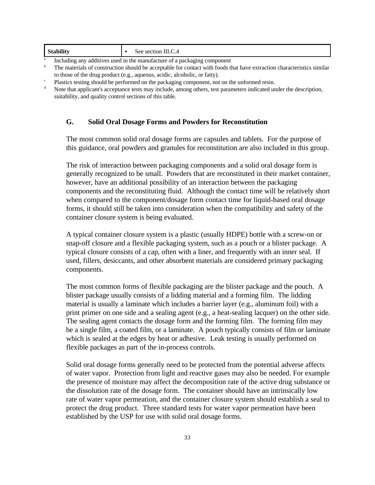| <b>Stability</b>                                                              | III.C.-<br>see section |
|-------------------------------------------------------------------------------|------------------------|
| a<br>Including eny edditives used in the menutecture of a neckesing component |                        |

Including any additives used in the manufacture of a packaging component

The materials of construction should be acceptable for contact with foods that have extraction characteristics similar <sup>b</sup> to those of the drug product (e.g., aqueous, acidic, alcoholic, or fatty).

<sup>c</sup> Plastics testing should be performed on the packaging component, not on the unformed resin.

<sup>d</sup> Note that applicant's acceptance tests may include, among others, test parameters indicated under the description, suitability, and quality control sections of this table.

#### **G. Solid Oral Dosage Forms and Powders for Reconstitution**

The most common solid oral dosage forms are capsules and tablets. For the purpose of this guidance, oral powders and granules for reconstitution are also included in this group.

The risk of interaction between packaging components and a solid oral dosage form is generally recognized to be small. Powders that are reconstituted in their market container, however, have an additional possibility of an interaction between the packaging components and the reconstituting fluid. Although the contact time will be relatively short when compared to the component/dosage form contact time for liquid-based oral dosage forms, it should still be taken into consideration when the compatibility and safety of the container closure system is being evaluated.

A typical container closure system is a plastic (usually HDPE) bottle with a screw-on or snap-off closure and a flexible packaging system, such as a pouch or a blister package. A typical closure consists of a cap, often with a liner, and frequently with an inner seal. If used, fillers, desiccants, and other absorbent materials are considered primary packaging components.

The most common forms of flexible packaging are the blister package and the pouch. A blister package usually consists of a lidding material and a forming film. The lidding material is usually a laminate which includes a barrier layer (e.g., aluminum foil) with a print primer on one side and a sealing agent (e.g., a heat-sealing lacquer) on the other side. The sealing agent contacts the dosage form and the forming film. The forming film may be a single film, a coated film, or a laminate. A pouch typically consists of film or laminate which is sealed at the edges by heat or adhesive. Leak testing is usually performed on flexible packages as part of the in-process controls.

Solid oral dosage forms generally need to be protected from the potential adverse affects of water vapor. Protection from light and reactive gases may also be needed. For example the presence of moisture may affect the decomposition rate of the active drug substance or the dissolution rate of the dosage form. The container should have an intrinsically low rate of water vapor permeation, and the container closure system should establish a seal to protect the drug product. Three standard tests for water vapor permeation have been established by the USP for use with solid oral dosage forms.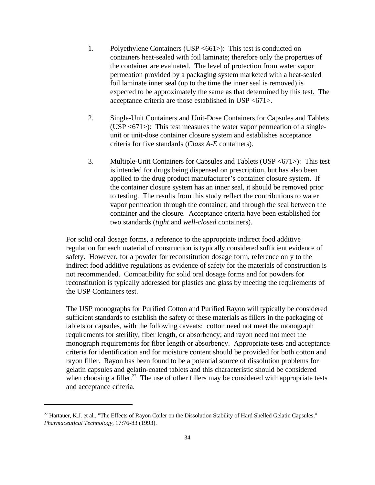- 1. Polyethylene Containers (USP <661>): This test is conducted on containers heat-sealed with foil laminate; therefore only the properties of the container are evaluated. The level of protection from water vapor permeation provided by a packaging system marketed with a heat-sealed foil laminate inner seal (up to the time the inner seal is removed) is expected to be approximately the same as that determined by this test. The acceptance criteria are those established in USP <671>.
- 2. Single-Unit Containers and Unit-Dose Containers for Capsules and Tablets (USP <671>): This test measures the water vapor permeation of a singleunit or unit-dose container closure system and establishes acceptance criteria for five standards (*Class A-E* containers).
- 3. Multiple-Unit Containers for Capsules and Tablets (USP <671>): This test is intended for drugs being dispensed on prescription, but has also been applied to the drug product manufacturer's container closure system. If the container closure system has an inner seal, it should be removed prior to testing. The results from this study reflect the contributions to water vapor permeation through the container, and through the seal between the container and the closure. Acceptance criteria have been established for two standards (*tight* and *well-closed* containers).

For solid oral dosage forms, a reference to the appropriate indirect food additive regulation for each material of construction is typically considered sufficient evidence of safety. However, for a powder for reconstitution dosage form, reference only to the indirect food additive regulations as evidence of safety for the materials of construction is not recommended. Compatibility for solid oral dosage forms and for powders for reconstitution is typically addressed for plastics and glass by meeting the requirements of the USP Containers test.

The USP monographs for Purified Cotton and Purified Rayon will typically be considered sufficient standards to establish the safety of these materials as fillers in the packaging of tablets or capsules, with the following caveats: cotton need not meet the monograph requirements for sterility, fiber length, or absorbency; and rayon need not meet the monograph requirements for fiber length or absorbency. Appropriate tests and acceptance criteria for identification and for moisture content should be provided for both cotton and rayon filler. Rayon has been found to be a potential source of dissolution problems for gelatin capsules and gelatin-coated tablets and this characteristic should be considered when choosing a filler.<sup>22</sup> The use of other fillers may be considered with appropriate tests and acceptance criteria.

<sup>&</sup>lt;sup>22</sup> Hartauer, K.J. et al., "The Effects of Rayon Coiler on the Dissolution Stability of Hard Shelled Gelatin Capsules," *Pharmaceutical Technology,* 17:76-83 (1993).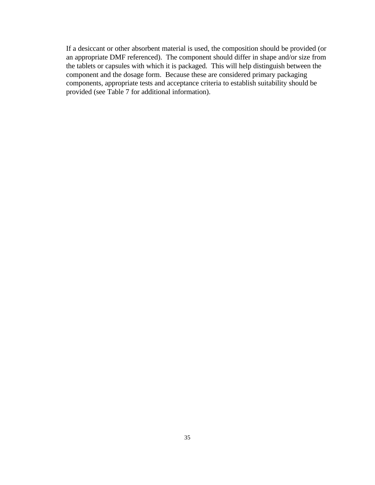If a desiccant or other absorbent material is used, the composition should be provided (or an appropriate DMF referenced). The component should differ in shape and/or size from the tablets or capsules with which it is packaged. This will help distinguish between the component and the dosage form. Because these are considered primary packaging components, appropriate tests and acceptance criteria to establish suitability should be provided (see Table 7 for additional information).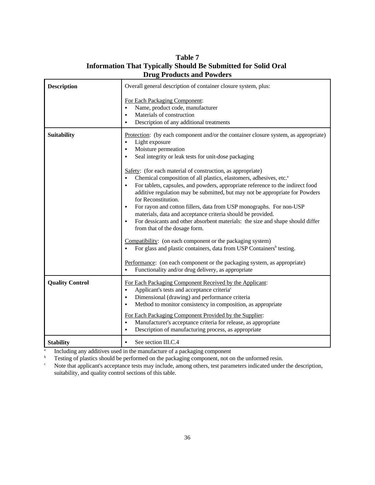| <b>Description</b>     | Overall general description of container closure system, plus:                                                                                                                                                                                                                                                                                                                                                                          |
|------------------------|-----------------------------------------------------------------------------------------------------------------------------------------------------------------------------------------------------------------------------------------------------------------------------------------------------------------------------------------------------------------------------------------------------------------------------------------|
|                        | For Each Packaging Component:<br>Name, product code, manufacturer<br>$\bullet$<br>Materials of construction<br>$\bullet$<br>Description of any additional treatments<br>$\bullet$                                                                                                                                                                                                                                                       |
| Suitability            | Protection: (by each component and/or the container closure system, as appropriate)<br>Light exposure<br>$\bullet$<br>Moisture permeation<br>$\bullet$<br>Seal integrity or leak tests for unit-dose packaging<br>$\bullet$                                                                                                                                                                                                             |
|                        | Safety: (for each material of construction, as appropriate)<br>Chemical composition of all plastics, elastomers, adhesives, etc. <sup>a</sup><br>For tablets, capsules, and powders, appropriate reference to the indirect food<br>$\bullet$<br>additive regulation may be submitted, but may not be appropriate for Powders<br>for Reconstitution.<br>For rayon and cotton fillers, data from USP monographs. For non-USP<br>$\bullet$ |
|                        | materials, data and acceptance criteria should be provided.<br>For dessicants and other absorbent materials: the size and shape should differ<br>from that of the dosage form.                                                                                                                                                                                                                                                          |
|                        | Compatibility: (on each component or the packaging system)<br>For glass and plastic containers, data from USP Containers <sup>b</sup> testing.                                                                                                                                                                                                                                                                                          |
|                        | Performance: (on each component or the packaging system, as appropriate)<br>Functionality and/or drug delivery, as appropriate                                                                                                                                                                                                                                                                                                          |
| <b>Quality Control</b> | For Each Packaging Component Received by the Applicant:<br>Applicant's tests and acceptance criteria <sup>c</sup><br>Dimensional (drawing) and performance criteria<br>$\bullet$<br>Method to monitor consistency in composition, as appropriate<br>$\bullet$                                                                                                                                                                           |
|                        | For Each Packaging Component Provided by the Supplier:<br>Manufacturer's acceptance criteria for release, as appropriate<br>Description of manufacturing process, as appropriate                                                                                                                                                                                                                                                        |
| <b>Stability</b>       | See section III.C.4<br>$\bullet$                                                                                                                                                                                                                                                                                                                                                                                                        |

#### **Table 7 Information That Typically Should Be Submitted for Solid Oral Drug Products and Powders**

Including any additives used in the manufacture of a packaging component  $\frac{b}{a}$  Testing of plastics should be performed on the packaging component not on

Testing of plastics should be performed on the packaging component, not on the unformed resin. <sup>b</sup>

<sup>c</sup> Note that applicant's acceptance tests may include, among others, test parameters indicated under the description, suitability, and quality control sections of this table.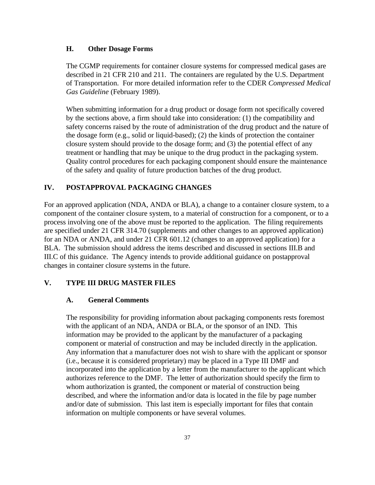#### **H. Other Dosage Forms**

The CGMP requirements for container closure systems for compressed medical gases are described in 21 CFR 210 and 211. The containers are regulated by the U.S. Department of Transportation. For more detailed information refer to the CDER *Compressed Medical Gas Guideline* (February 1989).

When submitting information for a drug product or dosage form not specifically covered by the sections above, a firm should take into consideration: (1) the compatibility and safety concerns raised by the route of administration of the drug product and the nature of the dosage form (e.g., solid or liquid-based); (2) the kinds of protection the container closure system should provide to the dosage form; and (3) the potential effect of any treatment or handling that may be unique to the drug product in the packaging system. Quality control procedures for each packaging component should ensure the maintenance of the safety and quality of future production batches of the drug product.

#### **IV. POSTAPPROVAL PACKAGING CHANGES**

For an approved application (NDA, ANDA or BLA), a change to a container closure system, to a component of the container closure system, to a material of construction for a component, or to a process involving one of the above must be reported to the application. The filing requirements are specified under 21 CFR 314.70 (supplements and other changes to an approved application) for an NDA or ANDA, and under 21 CFR 601.12 (changes to an approved application) for a BLA. The submission should address the items described and discussed in sections III.B and III.C of this guidance. The Agency intends to provide additional guidance on postapproval changes in container closure systems in the future.

#### **V. TYPE III DRUG MASTER FILES**

#### **A. General Comments**

The responsibility for providing information about packaging components rests foremost with the applicant of an NDA, ANDA or BLA, or the sponsor of an IND. This information may be provided to the applicant by the manufacturer of a packaging component or material of construction and may be included directly in the application. Any information that a manufacturer does not wish to share with the applicant or sponsor (i.e., because it is considered proprietary) may be placed in a Type III DMF and incorporated into the application by a letter from the manufacturer to the applicant which authorizes reference to the DMF. The letter of authorization should specify the firm to whom authorization is granted, the component or material of construction being described, and where the information and/or data is located in the file by page number and/or date of submission. This last item is especially important for files that contain information on multiple components or have several volumes.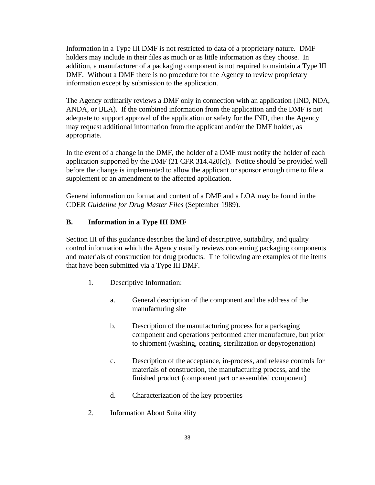Information in a Type III DMF is not restricted to data of a proprietary nature. DMF holders may include in their files as much or as little information as they choose. In addition, a manufacturer of a packaging component is not required to maintain a Type III DMF. Without a DMF there is no procedure for the Agency to review proprietary information except by submission to the application.

The Agency ordinarily reviews a DMF only in connection with an application (IND, NDA, ANDA, or BLA). If the combined information from the application and the DMF is not adequate to support approval of the application or safety for the IND, then the Agency may request additional information from the applicant and/or the DMF holder, as appropriate.

In the event of a change in the DMF, the holder of a DMF must notify the holder of each application supported by the DMF (21 CFR 314.420(c)). Notice should be provided well before the change is implemented to allow the applicant or sponsor enough time to file a supplement or an amendment to the affected application.

General information on format and content of a DMF and a LOA may be found in the CDER *Guideline for Drug Master Files* (September 1989).

#### **B. Information in a Type III DMF**

Section III of this guidance describes the kind of descriptive, suitability, and quality control information which the Agency usually reviews concerning packaging components and materials of construction for drug products. The following are examples of the items that have been submitted via a Type III DMF.

- 1. Descriptive Information:
	- a. General description of the component and the address of the manufacturing site
	- b. Description of the manufacturing process for a packaging component and operations performed after manufacture, but prior to shipment (washing, coating, sterilization or depyrogenation)
	- c. Description of the acceptance, in-process, and release controls for materials of construction, the manufacturing process, and the finished product (component part or assembled component)
	- d. Characterization of the key properties
- 2. Information About Suitability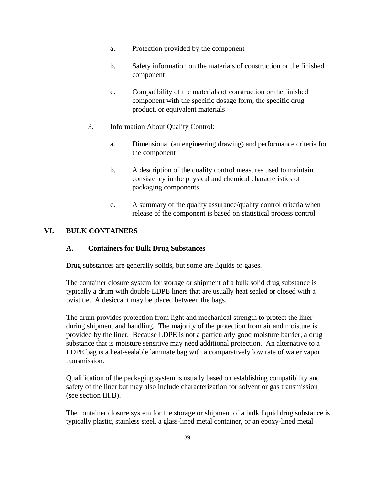- a. Protection provided by the component
- b. Safety information on the materials of construction or the finished component
- c. Compatibility of the materials of construction or the finished component with the specific dosage form, the specific drug product, or equivalent materials
- 3. Information About Quality Control:
	- a. Dimensional (an engineering drawing) and performance criteria for the component
	- b. A description of the quality control measures used to maintain consistency in the physical and chemical characteristics of packaging components
	- c. A summary of the quality assurance/quality control criteria when release of the component is based on statistical process control

#### **VI. BULK CONTAINERS**

#### **A. Containers for Bulk Drug Substances**

Drug substances are generally solids, but some are liquids or gases.

The container closure system for storage or shipment of a bulk solid drug substance is typically a drum with double LDPE liners that are usually heat sealed or closed with a twist tie. A desiccant may be placed between the bags.

The drum provides protection from light and mechanical strength to protect the liner during shipment and handling. The majority of the protection from air and moisture is provided by the liner. Because LDPE is not a particularly good moisture barrier, a drug substance that is moisture sensitive may need additional protection. An alternative to a LDPE bag is a heat-sealable laminate bag with a comparatively low rate of water vapor transmission.

Qualification of the packaging system is usually based on establishing compatibility and safety of the liner but may also include characterization for solvent or gas transmission (see section III.B).

The container closure system for the storage or shipment of a bulk liquid drug substance is typically plastic, stainless steel, a glass-lined metal container, or an epoxy-lined metal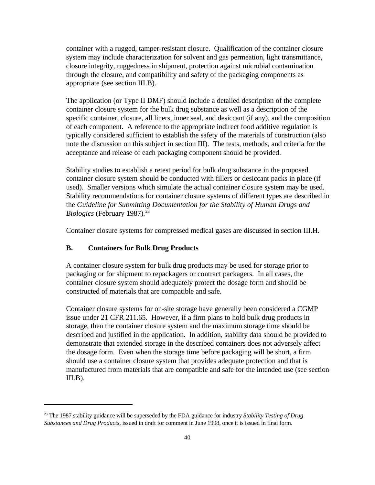container with a rugged, tamper-resistant closure. Qualification of the container closure system may include characterization for solvent and gas permeation, light transmittance, closure integrity, ruggedness in shipment, protection against microbial contamination through the closure, and compatibility and safety of the packaging components as appropriate (see section III.B).

The application (or Type II DMF) should include a detailed description of the complete container closure system for the bulk drug substance as well as a description of the specific container, closure, all liners, inner seal, and desiccant (if any), and the composition of each component. A reference to the appropriate indirect food additive regulation is typically considered sufficient to establish the safety of the materials of construction (also note the discussion on this subject in section III). The tests, methods, and criteria for the acceptance and release of each packaging component should be provided.

Stability studies to establish a retest period for bulk drug substance in the proposed container closure system should be conducted with fillers or desiccant packs in place (if used). Smaller versions which simulate the actual container closure system may be used. Stability recommendations for container closure systems of different types are described in the *Guideline for Submitting Documentation for the Stability of Human Drugs and Biologics* (February 1987)*.* 23

Container closure systems for compressed medical gases are discussed in section III.H.

#### **B. Containers for Bulk Drug Products**

A container closure system for bulk drug products may be used for storage prior to packaging or for shipment to repackagers or contract packagers. In all cases, the container closure system should adequately protect the dosage form and should be constructed of materials that are compatible and safe.

Container closure systems for on-site storage have generally been considered a CGMP issue under 21 CFR 211.65. However, if a firm plans to hold bulk drug products in storage, then the container closure system and the maximum storage time should be described and justified in the application. In addition, stability data should be provided to demonstrate that extended storage in the described containers does not adversely affect the dosage form. Even when the storage time before packaging will be short, a firm should use a container closure system that provides adequate protection and that is manufactured from materials that are compatible and safe for the intended use (see section  $III.B$ ).

<sup>&</sup>lt;sup>23</sup> The 1987 stability guidance will be superseded by the FDA guidance for industry *Stability Testing of Drug Substances and Drug Products,* issued in draft for comment in June 1998, once it is issued in final form.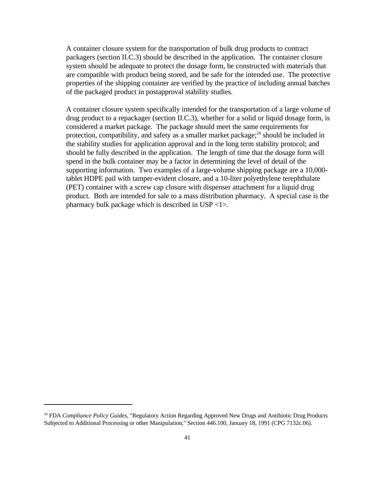A container closure system for the transportation of bulk drug products to contract packagers (section II.C.3) should be described in the application. The container closure system should be adequate to protect the dosage form, be constructed with materials that are compatible with product being stored, and be safe for the intended use. The protective properties of the shipping container are verified by the practice of including annual batches of the packaged product in postapproval stability studies.

A container closure system specifically intended for the transportation of a large volume of drug product to a repackager (section II.C.3), whether for a solid or liquid dosage form, is considered a market package. The package should meet the same requirements for protection, compatibility, and safety as a smaller market package: $^{24}$  should be included in the stability studies for application approval and in the long term stability protocol; and should be fully described in the application. The length of time that the dosage form will spend in the bulk container may be a factor in determining the level of detail of the supporting information. Two examples of a large-volume shipping package are a 10,000 tablet HDPE pail with tamper-evident closure, and a 10-liter polyethylene terephthalate (PET) container with a screw cap closure with dispenser attachment for a liquid drug product. Both are intended for sale to a mass distribution pharmacy. A special case is the pharmacy bulk package which is described in USP  $\langle 1 \rangle$ .

<sup>&</sup>lt;sup>24</sup> FDA *Compliance Policy Guides*, "Regulatory Action Regarding Approved New Drugs and Antibiotic Drug Products Subjected to Additional Processing or other Manipulation," Section 446.100, January 18, 1991 (CPG 7132c.06).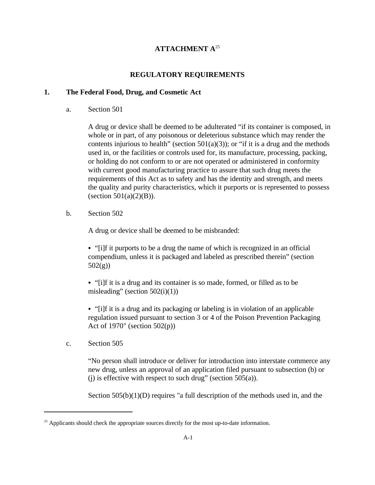#### **ATTACHMENT A**<sup>25</sup>

#### **REGULATORY REQUIREMENTS**

#### **1. The Federal Food, Drug, and Cosmetic Act**

a. Section 501

A drug or device shall be deemed to be adulterated "if its container is composed, in whole or in part, of any poisonous or deleterious substance which may render the contents injurious to health" (section  $501(a)(3)$ ); or "if it is a drug and the methods used in, or the facilities or controls used for, its manufacture, processing, packing, or holding do not conform to or are not operated or administered in conformity with current good manufacturing practice to assure that such drug meets the requirements of this Act as to safety and has the identity and strength, and meets the quality and purity characteristics, which it purports or is represented to possess (section  $501(a)(2)(B)$ ).

b. Section 502

A drug or device shall be deemed to be misbranded:

• "[i]f it purports to be a drug the name of which is recognized in an official compendium, unless it is packaged and labeled as prescribed therein" (section  $502(g)$ )

• "[i]f it is a drug and its container is so made, formed, or filled as to be misleading" (section  $502(i)(1)$ )

• "[i]f it is a drug and its packaging or labeling is in violation of an applicable regulation issued pursuant to section 3 or 4 of the Poison Prevention Packaging Act of 1970" (section 502(p))

c. Section 505

"No person shall introduce or deliver for introduction into interstate commerce any new drug, unless an approval of an application filed pursuant to subsection (b) or (i) is effective with respect to such drug" (section  $505(a)$ ).

Section  $505(b)(1)(D)$  requires "a full description of the methods used in, and the

 $25$  Applicants should check the appropriate sources directly for the most up-to-date information.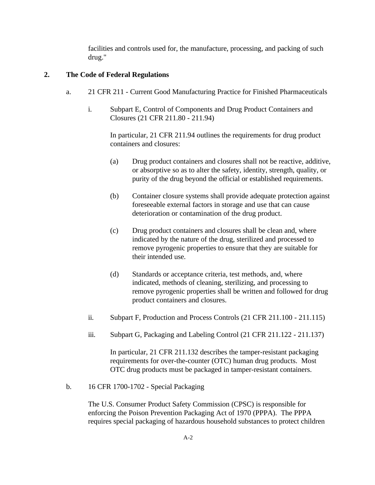facilities and controls used for, the manufacture, processing, and packing of such drug."

#### **2. The Code of Federal Regulations**

- a. 21 CFR 211 Current Good Manufacturing Practice for Finished Pharmaceuticals
	- i. Subpart E, Control of Components and Drug Product Containers and Closures (21 CFR 211.80 - 211.94)

In particular, 21 CFR 211.94 outlines the requirements for drug product containers and closures:

- (a) Drug product containers and closures shall not be reactive, additive, or absorptive so as to alter the safety, identity, strength, quality, or purity of the drug beyond the official or established requirements.
- (b) Container closure systems shall provide adequate protection against foreseeable external factors in storage and use that can cause deterioration or contamination of the drug product.
- (c) Drug product containers and closures shall be clean and, where indicated by the nature of the drug, sterilized and processed to remove pyrogenic properties to ensure that they are suitable for their intended use.
- (d) Standards or acceptance criteria, test methods, and, where indicated, methods of cleaning, sterilizing, and processing to remove pyrogenic properties shall be written and followed for drug product containers and closures.
- ii. Subpart F, Production and Process Controls (21 CFR 211.100 211.115)
- iii. Subpart G, Packaging and Labeling Control (21 CFR 211.122 211.137)

In particular, 21 CFR 211.132 describes the tamper-resistant packaging requirements for over-the-counter (OTC) human drug products. Most OTC drug products must be packaged in tamper-resistant containers.

b. 16 CFR 1700-1702 - Special Packaging

The U.S. Consumer Product Safety Commission (CPSC) is responsible for enforcing the Poison Prevention Packaging Act of 1970 (PPPA). The PPPA requires special packaging of hazardous household substances to protect children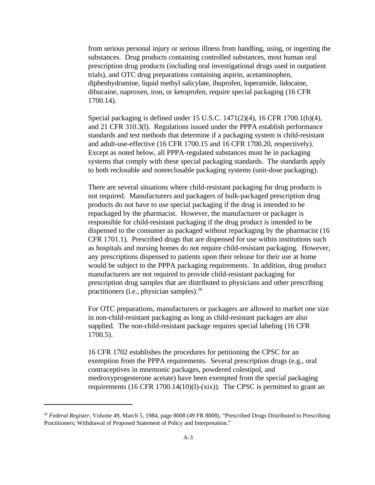from serious personal injury or serious illness from handling, using, or ingesting the substances. Drug products containing controlled substances, most human oral prescription drug products (including oral investigational drugs used in outpatient trials), and OTC drug preparations containing aspirin, acetaminophen, diphenhydramine, liquid methyl salicylate, ibuprofen, loperamide, lidocaine, dibucaine, naproxen, iron, or ketoprofen, require special packaging (16 CFR 1700.14).

Special packaging is defined under 15 U.S.C. 1471(2)(4), 16 CFR 1700.1(b)(4), and 21 CFR 310.3(l). Regulations issued under the PPPA establish performance standards and test methods that determine if a packaging system is child-resistant and adult-use-effective (16 CFR 1700.15 and 16 CFR 1700.20, respectively). Except as noted below, all PPPA-regulated substances must be in packaging systems that comply with these special packaging standards. The standards apply to both reclosable and nonreclosable packaging systems (unit-dose packaging).

There are several situations where child-resistant packaging for drug products is not required. Manufacturers and packagers of bulk-packaged prescription drug products do not have to use special packaging if the drug is intended to be repackaged by the pharmacist. However, the manufacturer or packager is responsible for child-resistant packaging if the drug product is intended to be dispensed to the consumer as packaged without repackaging by the pharmacist (16 CFR 1701.1). Prescribed drugs that are dispensed for use within institutions such as hospitals and nursing homes do not require child-resistant packaging. However, any prescriptions dispensed to patients upon their release for their use at home would be subject to the PPPA packaging requirements. In addition, drug product manufacturers are not required to provide child-resistant packaging for prescription drug samples that are distributed to physicians and other prescribing practitioners (i.e., physician samples).<sup>26</sup>

For OTC preparations, manufacturers or packagers are allowed to market one size in non-child-resistant packaging as long as child-resistant packages are also supplied. The non-child-resistant package requires special labeling (16 CFR 1700.5).

16 CFR 1702 establishes the procedures for petitioning the CPSC for an exemption from the PPPA requirements. Several prescription drugs (e.g., oral contraceptives in mnemonic packages, powdered colestipol, and medroxyprogesterone acetate) have been exempted from the special packaging requirements (16 CFR 1700.14(10)(I)-(xix)). The CPSC is permitted to grant an

<sup>&</sup>lt;sup>26</sup> Federal Register, Volume 49, March 5, 1984, page 8008 (49 FR 8008), "Prescribed Drugs Distributed to Prescribing Practitioners; Withdrawal of Proposed Statement of Policy and Interpretation."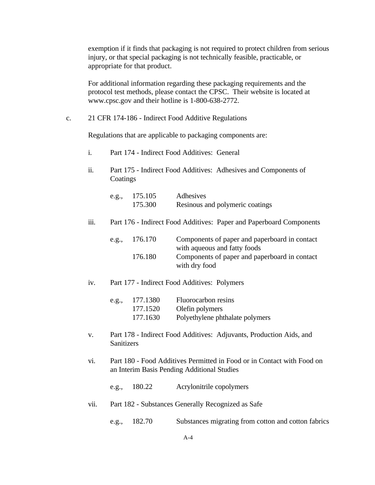exemption if it finds that packaging is not required to protect children from serious injury, or that special packaging is not technically feasible, practicable, or appropriate for that product.

For additional information regarding these packaging requirements and the protocol test methods, please contact the CPSC. Their website is located at www.cpsc.gov and their hotline is 1-800-638-2772.

c. 21 CFR 174-186 - Indirect Food Additive Regulations

Regulations that are applicable to packaging components are:

- i. Part 174 Indirect Food Additives: General
- ii. Part 175 Indirect Food Additives: Adhesives and Components of **Coatings**

| e.g., | 175.105 | Adhesives                       |
|-------|---------|---------------------------------|
|       | 175.300 | Resinous and polymeric coatings |

iii. Part 176 - Indirect Food Additives: Paper and Paperboard Components

| e.g., | 176.170 | Components of paper and paperboard in contact |
|-------|---------|-----------------------------------------------|
|       |         | with aqueous and fatty foods                  |
|       | 176.180 | Components of paper and paperboard in contact |
|       |         | with dry food                                 |

#### iv. Part 177 - Indirect Food Additives: Polymers

| e.g., | 177.1380 | Fluorocarbon resins             |
|-------|----------|---------------------------------|
|       | 177.1520 | Olefin polymers                 |
|       | 177.1630 | Polyethylene phthalate polymers |

- v. Part 178 Indirect Food Additives: Adjuvants, Production Aids, and **Sanitizers**
- vi. Part 180 Food Additives Permitted in Food or in Contact with Food on an Interim Basis Pending Additional Studies

e.g., 180.22 Acrylonitrile copolymers

- vii. Part 182 Substances Generally Recognized as Safe
	- e.g., 182.70 Substances migrating from cotton and cotton fabrics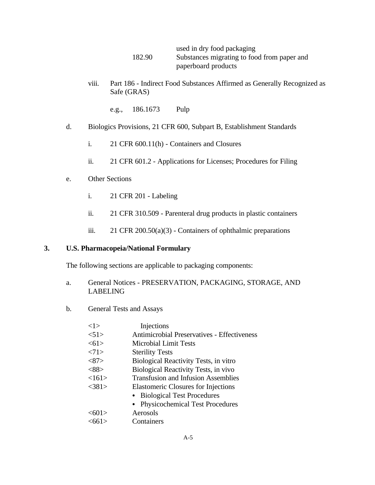|        | used in dry food packaging                  |
|--------|---------------------------------------------|
| 182.90 | Substances migrating to food from paper and |
|        | paperboard products                         |

- viii. Part 186 Indirect Food Substances Affirmed as Generally Recognized as Safe (GRAS)
	- e.g., 186.1673 Pulp
- d. Biologics Provisions, 21 CFR 600, Subpart B, Establishment Standards
	- i. 21 CFR 600.11(h) Containers and Closures
	- ii. 21 CFR 601.2 Applications for Licenses; Procedures for Filing
- e. Other Sections
	- i. 21 CFR 201 Labeling
	- ii. 21 CFR 310.509 Parenteral drug products in plastic containers
	- iii. 21 CFR 200.50(a)(3) Containers of ophthalmic preparations

#### **3. U.S. Pharmacopeia/National Formulary**

The following sections are applicable to packaging components:

- a. General Notices PRESERVATION, PACKAGING, STORAGE, AND LABELING
- b. General Tests and Assays

| <1>                  | Injections                                         |
|----------------------|----------------------------------------------------|
| < 51                 | <b>Antimicrobial Preservatives - Effectiveness</b> |
| $<$ 61 $>$           | <b>Microbial Limit Tests</b>                       |
| $\langle 71 \rangle$ | <b>Sterility Tests</b>                             |
| $<\!\!87\!\!>$       | <b>Biological Reactivity Tests, in vitro</b>       |
| <88>                 | Biological Reactivity Tests, in vivo               |
| <161>                | <b>Transfusion and Infusion Assemblies</b>         |
| <381>                | <b>Elastomeric Closures for Injections</b>         |
|                      | • Biological Test Procedures                       |
|                      | • Physicochemical Test Procedures                  |
| < 601                | Aerosols                                           |
| $<$ 661>             | Containers                                         |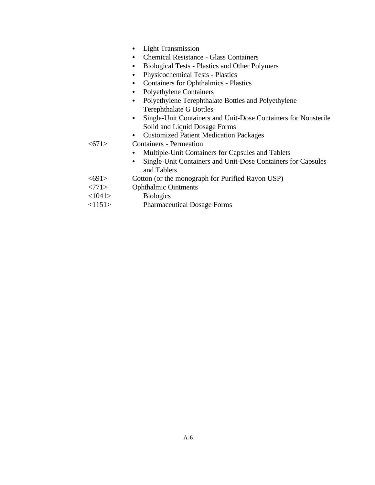- Light Transmission
- C Chemical Resistance Glass Containers
- Biological Tests Plastics and Other Polymers
- Physicochemical Tests Plastics
- Containers for Ophthalmics Plastics
- Polyethylene Containers
- Polyethylene Terephthalate Bottles and Polyethylene Terephthalate G Bottles
- Single-Unit Containers and Unit-Dose Containers for Nonsterile Solid and Liquid Dosage Forms
- Customized Patient Medication Packages
- <671> Containers Permeation
	- Multiple-Unit Containers for Capsules and Tablets
	- Single-Unit Containers and Unit-Dose Containers for Capsules and Tablets
- <691> Cotton (or the monograph for Purified Rayon USP)
- <771> Ophthalmic Ointments
- <1041> Biologics
- <1151> Pharmaceutical Dosage Forms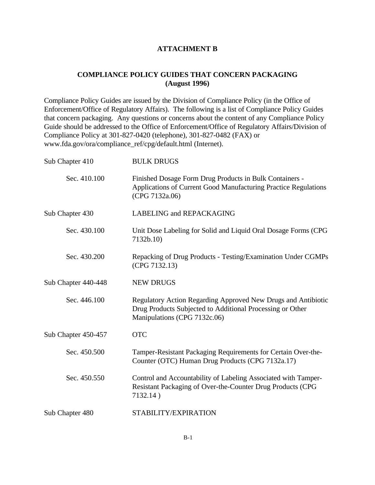#### **ATTACHMENT B**

#### **COMPLIANCE POLICY GUIDES THAT CONCERN PACKAGING (August 1996)**

Compliance Policy Guides are issued by the Division of Compliance Policy (in the Office of Enforcement/Office of Regulatory Affairs). The following is a list of Compliance Policy Guides that concern packaging. Any questions or concerns about the content of any Compliance Policy Guide should be addressed to the Office of Enforcement/Office of Regulatory Affairs/Division of Compliance Policy at 301-827-0420 (telephone), 301-827-0482 (FAX) or www.fda.gov/ora/compliance\_ref/cpg/default.html (Internet).

| Sub Chapter 410     | <b>BULK DRUGS</b>                                                                                                                                          |
|---------------------|------------------------------------------------------------------------------------------------------------------------------------------------------------|
| Sec. 410.100        | Finished Dosage Form Drug Products in Bulk Containers -<br>Applications of Current Good Manufacturing Practice Regulations<br>(CPG 7132a.06)               |
| Sub Chapter 430     | LABELING and REPACKAGING                                                                                                                                   |
| Sec. 430.100        | Unit Dose Labeling for Solid and Liquid Oral Dosage Forms (CPG<br>7132b.10)                                                                                |
| Sec. 430.200        | Repacking of Drug Products - Testing/Examination Under CGMPs<br>(CPG 7132.13)                                                                              |
| Sub Chapter 440-448 | <b>NEW DRUGS</b>                                                                                                                                           |
| Sec. 446.100        | Regulatory Action Regarding Approved New Drugs and Antibiotic<br>Drug Products Subjected to Additional Processing or Other<br>Manipulations (CPG 7132c.06) |
| Sub Chapter 450-457 | <b>OTC</b>                                                                                                                                                 |
| Sec. 450.500        | Tamper-Resistant Packaging Requirements for Certain Over-the-<br>Counter (OTC) Human Drug Products (CPG 7132a.17)                                          |
| Sec. 450.550        | Control and Accountability of Labeling Associated with Tamper-<br>Resistant Packaging of Over-the-Counter Drug Products (CPG<br>7132.14)                   |
| Sub Chapter 480     | STABILITY/EXPIRATION                                                                                                                                       |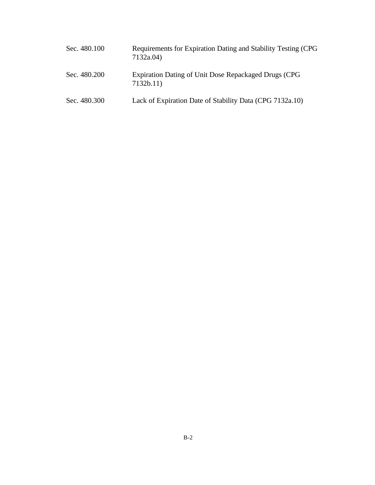| Sec. 480.100 | Requirements for Expiration Dating and Stability Testing (CPG)<br>7132a.04) |
|--------------|-----------------------------------------------------------------------------|
| Sec. 480.200 | Expiration Dating of Unit Dose Repackaged Drugs (CPG<br>7132b.11)           |
| Sec. 480.300 | Lack of Expiration Date of Stability Data (CPG 7132a.10)                    |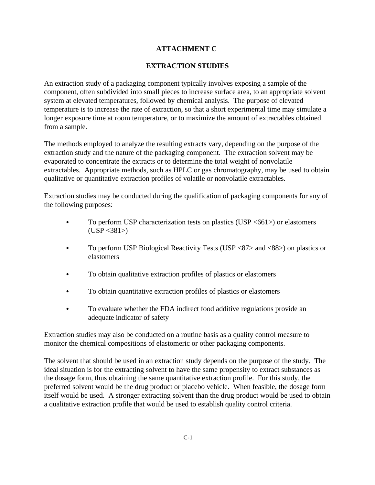#### **ATTACHMENT C**

#### **EXTRACTION STUDIES**

An extraction study of a packaging component typically involves exposing a sample of the component, often subdivided into small pieces to increase surface area, to an appropriate solvent system at elevated temperatures, followed by chemical analysis. The purpose of elevated temperature is to increase the rate of extraction, so that a short experimental time may simulate a longer exposure time at room temperature, or to maximize the amount of extractables obtained from a sample.

The methods employed to analyze the resulting extracts vary, depending on the purpose of the extraction study and the nature of the packaging component. The extraction solvent may be evaporated to concentrate the extracts or to determine the total weight of nonvolatile extractables. Appropriate methods, such as HPLC or gas chromatography, may be used to obtain qualitative or quantitative extraction profiles of volatile or nonvolatile extractables.

Extraction studies may be conducted during the qualification of packaging components for any of the following purposes:

- To perform USP characterization tests on plastics (USP  $\langle 661 \rangle$ ) or elastomers  $(USP < 381)$
- To perform USP Biological Reactivity Tests (USP  $\langle 87 \rangle$  and  $\langle 88 \rangle$ ) on plastics or elastomers
- To obtain qualitative extraction profiles of plastics or elastomers
- To obtain quantitative extraction profiles of plastics or elastomers
- To evaluate whether the FDA indirect food additive regulations provide an adequate indicator of safety

Extraction studies may also be conducted on a routine basis as a quality control measure to monitor the chemical compositions of elastomeric or other packaging components.

The solvent that should be used in an extraction study depends on the purpose of the study. The ideal situation is for the extracting solvent to have the same propensity to extract substances as the dosage form, thus obtaining the same quantitative extraction profile. For this study, the preferred solvent would be the drug product or placebo vehicle. When feasible, the dosage form itself would be used. A stronger extracting solvent than the drug product would be used to obtain a qualitative extraction profile that would be used to establish quality control criteria.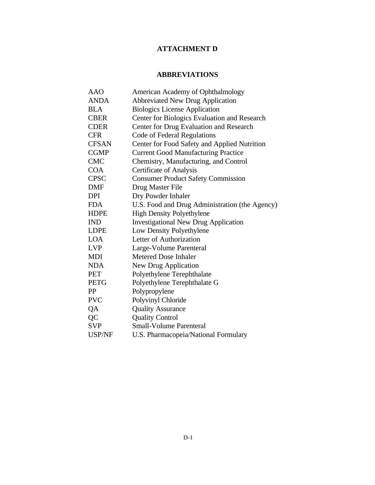### **ATTACHMENT D**

#### **ABBREVIATIONS**

| <b>AAO</b>    | American Academy of Ophthalmology              |
|---------------|------------------------------------------------|
| <b>ANDA</b>   | <b>Abbreviated New Drug Application</b>        |
| <b>BLA</b>    | <b>Biologics License Application</b>           |
| <b>CBER</b>   | Center for Biologics Evaluation and Research   |
| <b>CDER</b>   | Center for Drug Evaluation and Research        |
| <b>CFR</b>    | Code of Federal Regulations                    |
| <b>CFSAN</b>  | Center for Food Safety and Applied Nutrition   |
| <b>CGMP</b>   | <b>Current Good Manufacturing Practice</b>     |
| <b>CMC</b>    | Chemistry, Manufacturing, and Control          |
| <b>COA</b>    | <b>Certificate of Analysis</b>                 |
| <b>CPSC</b>   | <b>Consumer Product Safety Commission</b>      |
| <b>DMF</b>    | Drug Master File                               |
| <b>DPI</b>    | Dry Powder Inhaler                             |
| <b>FDA</b>    | U.S. Food and Drug Administration (the Agency) |
| <b>HDPE</b>   | <b>High Density Polyethylene</b>               |
| <b>IND</b>    | <b>Investigational New Drug Application</b>    |
| <b>LDPE</b>   | Low Density Polyethylene                       |
| <b>LOA</b>    | Letter of Authorization                        |
| <b>LVP</b>    | Large-Volume Parenteral                        |
| <b>MDI</b>    | <b>Metered Dose Inhaler</b>                    |
| <b>NDA</b>    | New Drug Application                           |
| <b>PET</b>    | Polyethylene Terephthalate                     |
| <b>PETG</b>   | Polyethylene Terephthalate G                   |
| PP            | Polypropylene                                  |
| <b>PVC</b>    | Polyvinyl Chloride                             |
| QA            | <b>Quality Assurance</b>                       |
| QC            | <b>Quality Control</b>                         |
| <b>SVP</b>    | <b>Small-Volume Parenteral</b>                 |
| <b>USP/NF</b> | U.S. Pharmacopeia/National Formulary           |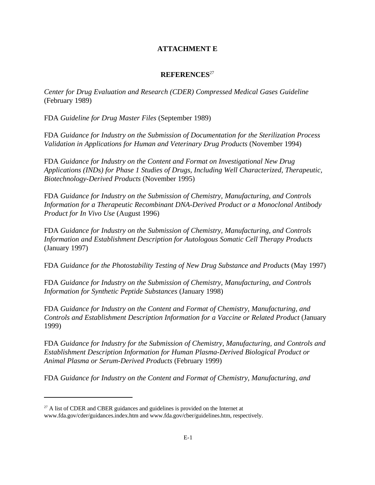#### **ATTACHMENT E**

#### **REFERENCES**<sup>27</sup>

*Center for Drug Evaluation and Research (CDER) Compressed Medical Gases Guideline* (February 1989)

FDA *Guideline for Drug Master Files* (September 1989)

FDA *Guidance for Industry on the Submission of Documentation for the Sterilization Process Validation in Applications for Human and Veterinary Drug Products* (November 1994)

FDA *Guidance for Industry on the Content and Format on Investigational New Drug Applications (INDs) for Phase 1 Studies of Drugs, Including Well Characterized, Therapeutic, Biotechnology-Derived Products* (November 1995)

FDA *Guidance for Industry on the Submission of Chemistry, Manufacturing, and Controls Information for a Therapeutic Recombinant DNA-Derived Product or a Monoclonal Antibody Product for In Vivo Use* (August 1996)

FDA *Guidance for Industry on the Submission of Chemistry, Manufacturing, and Controls Information and Establishment Description for Autologous Somatic Cell Therapy Products* (January 1997)

FDA *Guidance for the Photostability Testing of New Drug Substance and Products* (May 1997)

FDA *Guidance for Industry on the Submission of Chemistry, Manufacturing, and Controls Information for Synthetic Peptide Substances* (January 1998)

FDA *Guidance for Industry on the Content and Format of Chemistry, Manufacturing, and Controls and Establishment Description Information for a Vaccine or Related Product* (January 1999)

FDA *Guidance for Industry for the Submission of Chemistry, Manufacturing, and Controls and Establishment Description Information for Human Plasma-Derived Biological Product or Animal Plasma or Serum-Derived Products* (February 1999)

FDA *Guidance for Industry on the Content and Format of Chemistry, Manufacturing, and*

 $27$  A list of CDER and CBER guidances and guidelines is provided on the Internet at

www.fda.gov/cder/guidances.index.htm and www.fda.gov/cber/guidelines.htm, respectively.